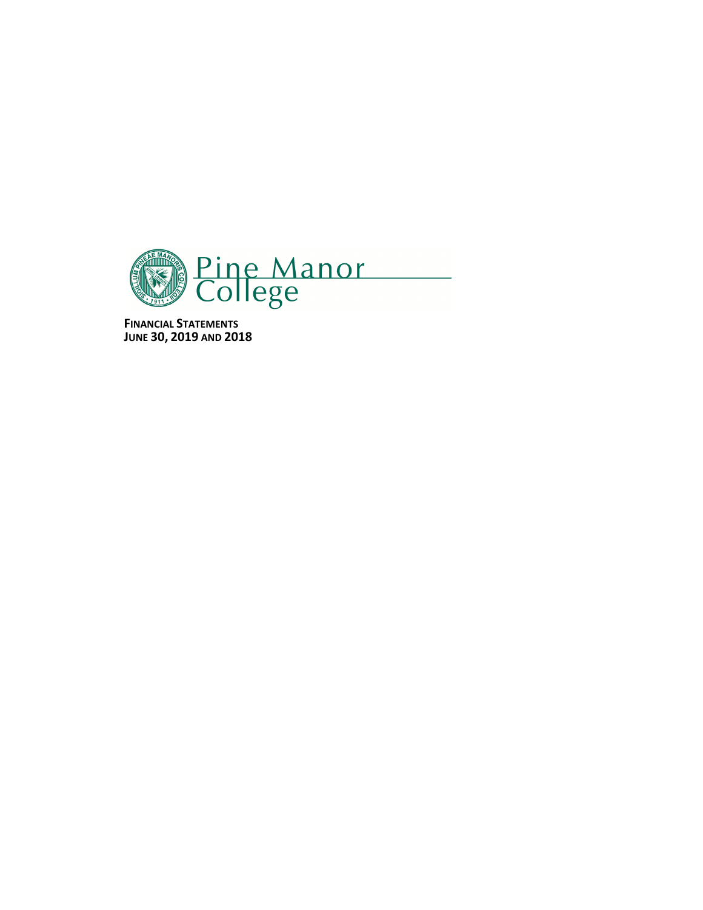

**FINANCIAL STATEMENTS JUNE 30, 2019 AND 2018**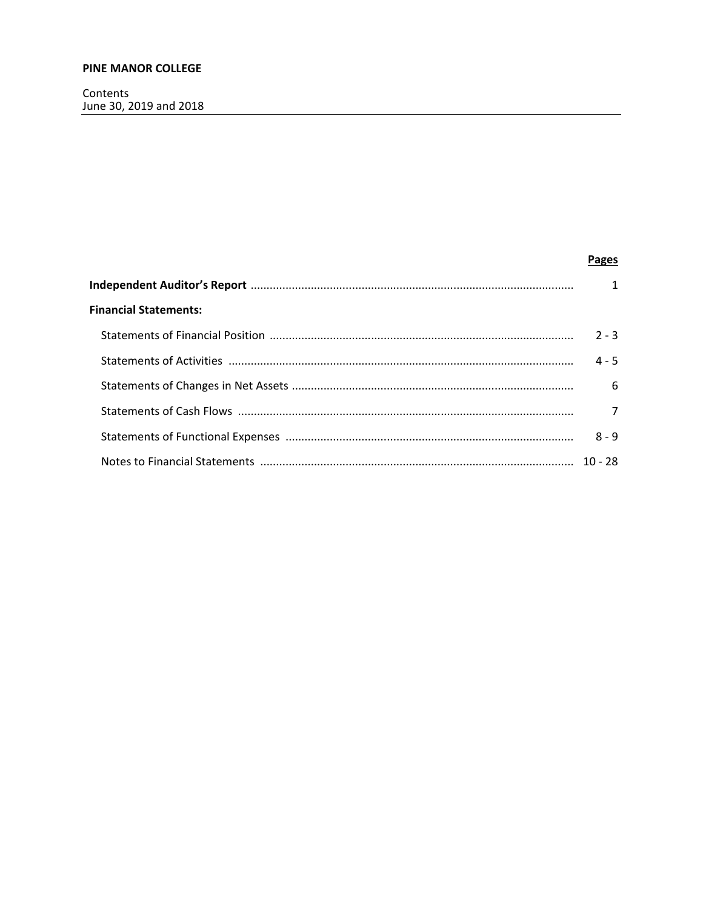Contents June 30, 2019 and 2018

|                              | <b>Pages</b>   |
|------------------------------|----------------|
|                              | $\mathbf{1}$   |
| <b>Financial Statements:</b> |                |
|                              | $2 - 3$        |
|                              | $4 - 5$        |
|                              | 6              |
|                              | $\overline{7}$ |
|                              | $8 - 9$        |
|                              |                |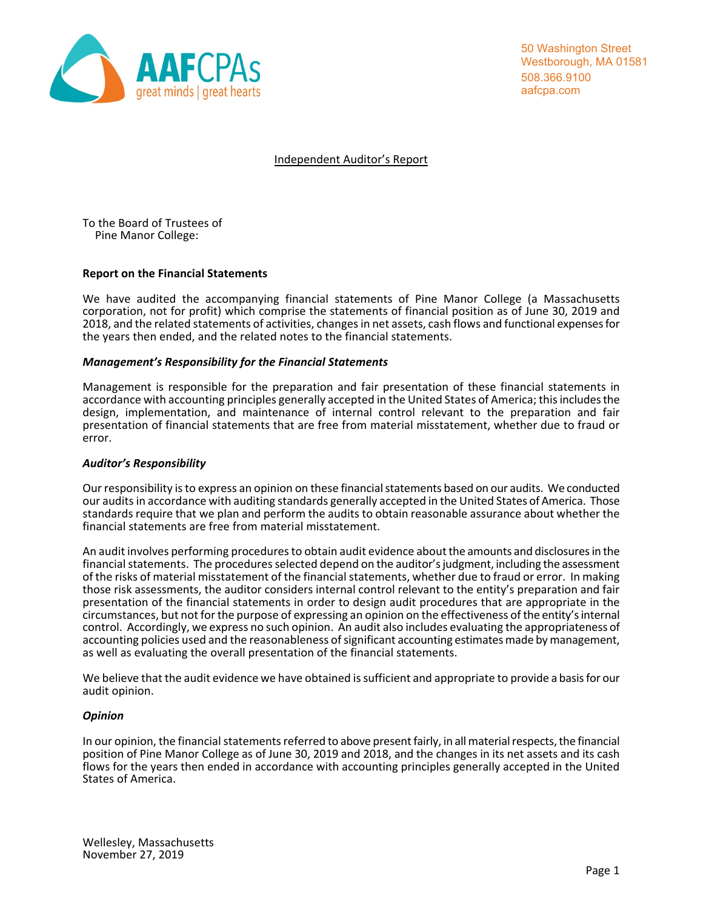

50 Washington Street Westborough, MA 01581 508.366.9100 aafcpa.com

Independent Auditor's Report

To the Board of Trustees of Pine Manor College:

## **Report on the Financial Statements**

We have audited the accompanying financial statements of Pine Manor College (a Massachusetts corporation, not for profit) which comprise the statements of financial position as of June 30, 2019 and 2018, and the related statements of activities, changes in net assets, cash flows and functional expenses for the years then ended, and the related notes to the financial statements.

## *Management's Responsibility for the Financial Statements*

Management is responsible for the preparation and fair presentation of these financial statements in accordance with accounting principles generally accepted in the United States of America; this includes the design, implementation, and maintenance of internal control relevant to the preparation and fair presentation of financial statements that are free from material misstatement, whether due to fraud or error.

## *Auditor's Responsibility*

Our responsibility is to express an opinion on these financial statements based on our audits. We conducted our audits in accordance with auditing standards generally accepted in the United States of America. Those standards require that we plan and perform the audits to obtain reasonable assurance about whether the financial statements are free from material misstatement.

An audit involves performing procedures to obtain audit evidence about the amounts and disclosures in the financial statements. The procedures selected depend on the auditor's judgment, including the assessment of the risks of material misstatement of the financial statements, whether due to fraud or error. In making those risk assessments, the auditor considers internal control relevant to the entity's preparation and fair presentation of the financial statements in order to design audit procedures that are appropriate in the circumstances, but not for the purpose of expressing an opinion on the effectiveness of the entity's internal control. Accordingly, we express no such opinion. An audit also includes evaluating the appropriateness of accounting policies used and the reasonableness of significant accounting estimates made by management, as well as evaluating the overall presentation of the financial statements.

We believe that the audit evidence we have obtained is sufficient and appropriate to provide a basis for our audit opinion.

## *Opinion*

In our opinion, the financial statements referred to above present fairly, in all material respects, the financial position of Pine Manor College as of June 30, 2019 and 2018, and the changes in its net assets and its cash flows for the years then ended in accordance with accounting principles generally accepted in the United States of America.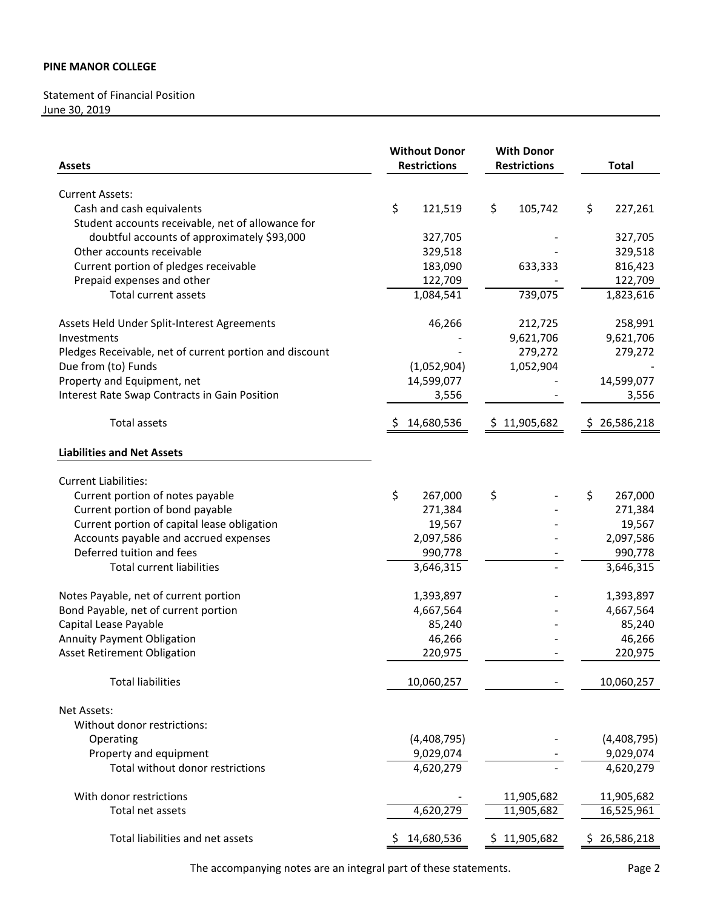# Statement of Financial Position June 30, 2019

| <b>Assets</b>                                              | <b>Without Donor</b><br><b>Restrictions</b> | <b>With Donor</b><br><b>Restrictions</b> | <b>Total</b>           |
|------------------------------------------------------------|---------------------------------------------|------------------------------------------|------------------------|
| <b>Current Assets:</b>                                     |                                             |                                          |                        |
| Cash and cash equivalents                                  | \$<br>121,519                               | \$<br>105,742                            | \$<br>227,261          |
| Student accounts receivable, net of allowance for          |                                             |                                          |                        |
| doubtful accounts of approximately \$93,000                | 327,705                                     |                                          | 327,705                |
| Other accounts receivable                                  | 329,518                                     |                                          | 329,518                |
| Current portion of pledges receivable                      | 183,090                                     | 633,333                                  | 816,423                |
| Prepaid expenses and other                                 | 122,709                                     |                                          | 122,709                |
| <b>Total current assets</b>                                | 1,084,541                                   | 739,075                                  | 1,823,616              |
|                                                            |                                             |                                          |                        |
| Assets Held Under Split-Interest Agreements                | 46,266                                      | 212,725                                  | 258,991                |
| Investments                                                |                                             | 9,621,706                                | 9,621,706              |
| Pledges Receivable, net of current portion and discount    |                                             | 279,272                                  | 279,272                |
| Due from (to) Funds                                        | (1,052,904)                                 | 1,052,904                                |                        |
| Property and Equipment, net                                | 14,599,077                                  |                                          | 14,599,077             |
| Interest Rate Swap Contracts in Gain Position              | 3,556                                       |                                          | 3,556                  |
| Total assets                                               | 14,680,536<br>S                             | \$11,905,682                             | 26,586,218<br>Ş.       |
| <b>Liabilities and Net Assets</b>                          |                                             |                                          |                        |
| <b>Current Liabilities:</b>                                |                                             |                                          |                        |
| Current portion of notes payable                           | \$<br>267,000                               | \$                                       | \$<br>267,000          |
| Current portion of bond payable                            | 271,384                                     |                                          | 271,384                |
| Current portion of capital lease obligation                | 19,567                                      |                                          | 19,567                 |
| Accounts payable and accrued expenses                      | 2,097,586                                   |                                          | 2,097,586              |
| Deferred tuition and fees                                  | 990,778                                     |                                          | 990,778                |
| <b>Total current liabilities</b>                           | 3,646,315                                   |                                          | 3,646,315              |
| Notes Payable, net of current portion                      | 1,393,897                                   |                                          | 1,393,897              |
| Bond Payable, net of current portion                       | 4,667,564                                   |                                          | 4,667,564              |
| Capital Lease Payable                                      | 85,240                                      |                                          | 85,240                 |
| <b>Annuity Payment Obligation</b>                          | 46,266                                      |                                          | 46,266                 |
| <b>Asset Retirement Obligation</b>                         | 220,975                                     |                                          | 220,975                |
| <b>Total liabilities</b>                                   | 10,060,257                                  |                                          | 10,060,257             |
|                                                            |                                             |                                          |                        |
| Net Assets:<br>Without donor restrictions:                 |                                             |                                          |                        |
|                                                            |                                             |                                          |                        |
| Operating                                                  | (4,408,795)                                 |                                          | (4,408,795)            |
| Property and equipment<br>Total without donor restrictions | 9,029,074<br>4,620,279                      |                                          | 9,029,074<br>4,620,279 |
|                                                            |                                             |                                          |                        |
| With donor restrictions                                    |                                             | 11,905,682                               | 11,905,682             |
| Total net assets                                           | 4,620,279                                   | 11,905,682                               | 16,525,961             |
| Total liabilities and net assets                           | 14,680,536<br>S                             | \$11,905,682                             | \$26,586,218           |

The accompanying notes are an integral part of these statements. Page 2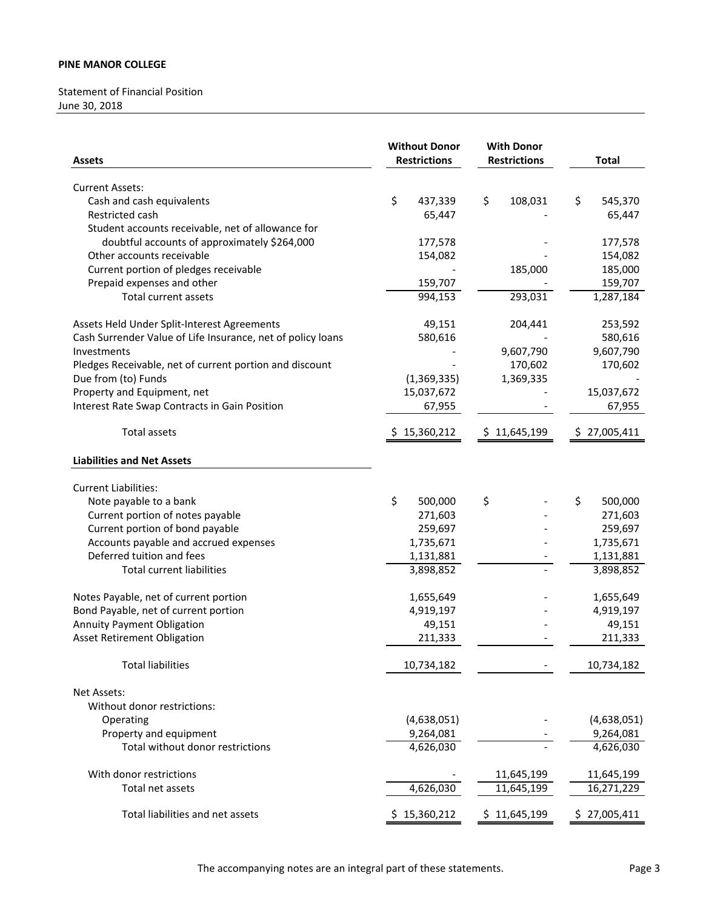# Statement of Financial Position June 30, 2018

| <b>Assets</b>                                               | <b>Without Donor</b><br><b>Restrictions</b> | <b>With Donor</b><br><b>Restrictions</b> | <b>Total</b>  |  |
|-------------------------------------------------------------|---------------------------------------------|------------------------------------------|---------------|--|
| <b>Current Assets:</b>                                      |                                             |                                          |               |  |
| Cash and cash equivalents                                   | \$<br>437,339                               | 108,031<br>\$                            | \$<br>545,370 |  |
| Restricted cash                                             | 65,447                                      |                                          | 65,447        |  |
| Student accounts receivable, net of allowance for           |                                             |                                          |               |  |
| doubtful accounts of approximately \$264,000                | 177,578                                     |                                          | 177,578       |  |
| Other accounts receivable                                   | 154,082                                     |                                          | 154,082       |  |
| Current portion of pledges receivable                       |                                             | 185,000                                  | 185,000       |  |
| Prepaid expenses and other                                  | 159,707                                     |                                          | 159,707       |  |
| <b>Total current assets</b>                                 | 994,153                                     | 293,031                                  | 1,287,184     |  |
| Assets Held Under Split-Interest Agreements                 | 49,151                                      | 204,441                                  | 253,592       |  |
| Cash Surrender Value of Life Insurance, net of policy loans | 580,616                                     |                                          | 580,616       |  |
| Investments                                                 |                                             | 9,607,790                                | 9,607,790     |  |
| Pledges Receivable, net of current portion and discount     |                                             | 170,602                                  | 170,602       |  |
| Due from (to) Funds                                         | (1,369,335)                                 | 1,369,335                                |               |  |
| Property and Equipment, net                                 | 15,037,672                                  |                                          | 15,037,672    |  |
| Interest Rate Swap Contracts in Gain Position               | 67,955                                      |                                          | 67,955        |  |
| <b>Total assets</b>                                         | \$15,360,212                                | \$11,645,199                             | \$27,005,411  |  |
| <b>Liabilities and Net Assets</b>                           |                                             |                                          |               |  |
| <b>Current Liabilities:</b>                                 |                                             |                                          |               |  |
| Note payable to a bank                                      | \$<br>500,000                               | \$                                       | \$<br>500,000 |  |
| Current portion of notes payable                            | 271,603                                     |                                          | 271,603       |  |
| Current portion of bond payable                             | 259,697                                     |                                          | 259,697       |  |
| Accounts payable and accrued expenses                       | 1,735,671                                   |                                          | 1,735,671     |  |
| Deferred tuition and fees                                   | 1,131,881                                   |                                          | 1,131,881     |  |
| <b>Total current liabilities</b>                            | 3,898,852                                   |                                          | 3,898,852     |  |
| Notes Payable, net of current portion                       | 1,655,649                                   |                                          | 1,655,649     |  |
| Bond Payable, net of current portion                        | 4,919,197                                   |                                          | 4,919,197     |  |
| <b>Annuity Payment Obligation</b>                           | 49,151                                      |                                          | 49,151        |  |
| <b>Asset Retirement Obligation</b>                          | 211,333                                     |                                          | 211,333       |  |
| <b>Total liabilities</b>                                    | 10,734,182                                  |                                          | 10,734,182    |  |
| Net Assets:                                                 |                                             |                                          |               |  |
| Without donor restrictions:                                 |                                             |                                          |               |  |
| Operating                                                   | (4,638,051)                                 |                                          | (4,638,051)   |  |
| Property and equipment                                      | 9,264,081                                   |                                          | 9,264,081     |  |
| Total without donor restrictions                            | 4,626,030                                   |                                          | 4,626,030     |  |
| With donor restrictions                                     |                                             | 11,645,199                               | 11,645,199    |  |
| Total net assets                                            | 4,626,030                                   | 11,645,199                               | 16,271,229    |  |
| Total liabilities and net assets                            | \$15,360,212                                | \$11,645,199                             | \$27,005,411  |  |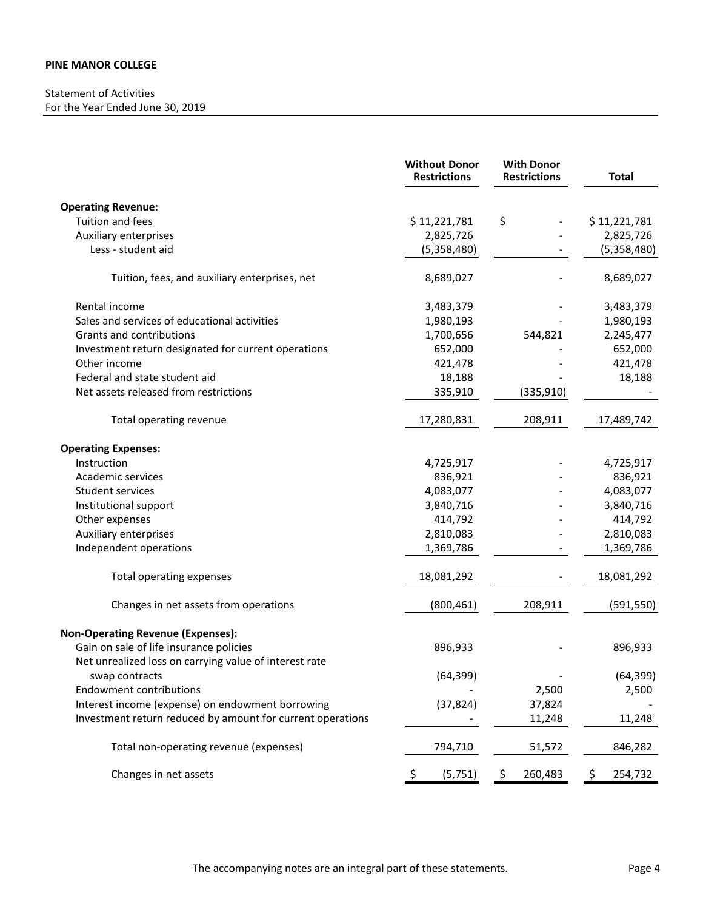# Statement of Activities For the Year Ended June 30, 2019

|                                                            | <b>Without Donor</b><br><b>Restrictions</b> | <b>With Donor</b><br><b>Restrictions</b> | <b>Total</b>  |
|------------------------------------------------------------|---------------------------------------------|------------------------------------------|---------------|
| <b>Operating Revenue:</b>                                  |                                             |                                          |               |
| Tuition and fees                                           | \$11,221,781                                | \$                                       | \$11,221,781  |
| Auxiliary enterprises                                      | 2,825,726                                   |                                          | 2,825,726     |
| Less - student aid                                         | (5,358,480)                                 |                                          | (5,358,480)   |
| Tuition, fees, and auxiliary enterprises, net              | 8,689,027                                   |                                          | 8,689,027     |
| Rental income                                              | 3,483,379                                   |                                          | 3,483,379     |
| Sales and services of educational activities               | 1,980,193                                   |                                          | 1,980,193     |
| Grants and contributions                                   | 1,700,656                                   | 544,821                                  | 2,245,477     |
| Investment return designated for current operations        | 652,000                                     |                                          | 652,000       |
| Other income                                               | 421,478                                     |                                          | 421,478       |
| Federal and state student aid                              | 18,188                                      |                                          | 18,188        |
| Net assets released from restrictions                      | 335,910                                     | (335, 910)                               |               |
| Total operating revenue                                    | 17,280,831                                  | 208,911                                  | 17,489,742    |
| <b>Operating Expenses:</b>                                 |                                             |                                          |               |
| Instruction                                                | 4,725,917                                   |                                          | 4,725,917     |
| Academic services                                          | 836,921                                     |                                          | 836,921       |
| Student services                                           | 4,083,077                                   |                                          | 4,083,077     |
| Institutional support                                      | 3,840,716                                   |                                          | 3,840,716     |
| Other expenses                                             | 414,792                                     |                                          | 414,792       |
| Auxiliary enterprises                                      | 2,810,083                                   |                                          | 2,810,083     |
| Independent operations                                     | 1,369,786                                   |                                          | 1,369,786     |
| Total operating expenses                                   | 18,081,292                                  |                                          | 18,081,292    |
| Changes in net assets from operations                      | (800, 461)                                  | 208,911                                  | (591, 550)    |
| <b>Non-Operating Revenue (Expenses):</b>                   |                                             |                                          |               |
| Gain on sale of life insurance policies                    | 896,933                                     |                                          | 896,933       |
| Net unrealized loss on carrying value of interest rate     |                                             |                                          |               |
| swap contracts                                             | (64, 399)                                   |                                          | (64, 399)     |
| <b>Endowment contributions</b>                             |                                             | 2,500                                    | 2,500         |
| Interest income (expense) on endowment borrowing           | (37, 824)                                   | 37,824                                   |               |
| Investment return reduced by amount for current operations |                                             | 11,248                                   | 11,248        |
| Total non-operating revenue (expenses)                     | 794,710                                     | 51,572                                   | 846,282       |
| Changes in net assets                                      | (5, 751)                                    | 260,483                                  | \$<br>254,732 |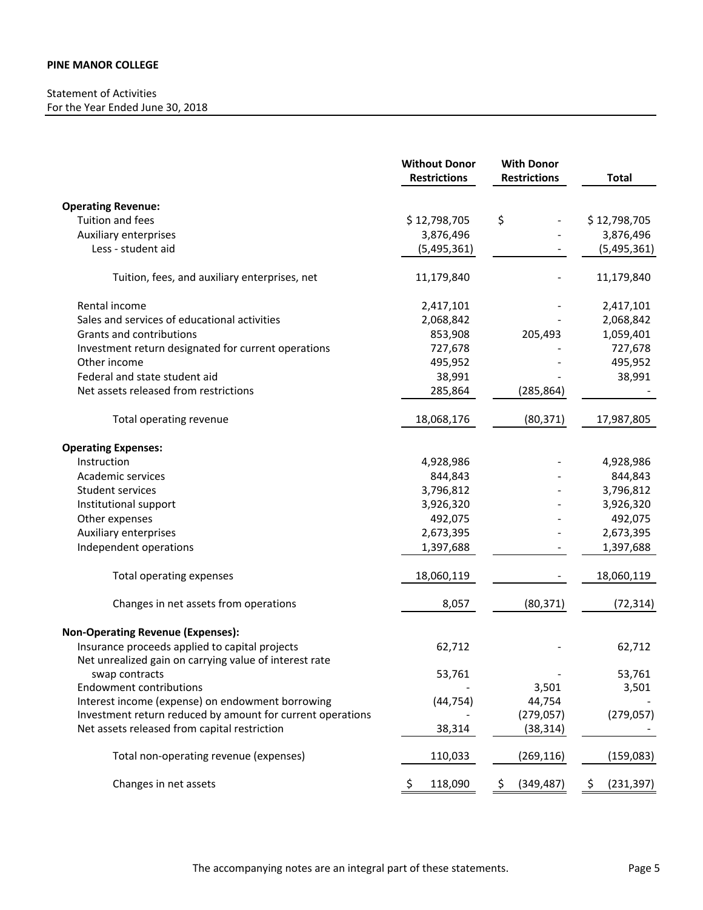# Statement of Activities For the Year Ended June 30, 2018

|                                                                                                          | <b>Without Donor</b><br><b>Restrictions</b> | <b>With Donor</b><br><b>Restrictions</b> | <b>Total</b>      |
|----------------------------------------------------------------------------------------------------------|---------------------------------------------|------------------------------------------|-------------------|
| <b>Operating Revenue:</b>                                                                                |                                             |                                          |                   |
| Tuition and fees                                                                                         | \$12,798,705                                | \$                                       | \$12,798,705      |
| Auxiliary enterprises                                                                                    | 3,876,496                                   |                                          | 3,876,496         |
| Less - student aid                                                                                       | (5,495,361)                                 |                                          | (5,495,361)       |
| Tuition, fees, and auxiliary enterprises, net                                                            | 11,179,840                                  |                                          | 11,179,840        |
| Rental income                                                                                            | 2,417,101                                   |                                          | 2,417,101         |
| Sales and services of educational activities                                                             | 2,068,842                                   |                                          | 2,068,842         |
| Grants and contributions                                                                                 | 853,908                                     | 205,493                                  | 1,059,401         |
| Investment return designated for current operations                                                      | 727,678                                     |                                          | 727,678           |
| Other income                                                                                             | 495,952                                     |                                          | 495,952           |
| Federal and state student aid                                                                            | 38,991                                      |                                          | 38,991            |
| Net assets released from restrictions                                                                    | 285,864                                     | (285, 864)                               |                   |
| Total operating revenue                                                                                  | 18,068,176                                  | (80, 371)                                | 17,987,805        |
| <b>Operating Expenses:</b>                                                                               |                                             |                                          |                   |
| Instruction                                                                                              | 4,928,986                                   |                                          | 4,928,986         |
| Academic services                                                                                        | 844,843                                     |                                          | 844,843           |
| Student services                                                                                         | 3,796,812                                   |                                          | 3,796,812         |
| Institutional support                                                                                    | 3,926,320                                   |                                          | 3,926,320         |
| Other expenses                                                                                           | 492,075                                     |                                          | 492,075           |
| Auxiliary enterprises                                                                                    | 2,673,395                                   |                                          | 2,673,395         |
| Independent operations                                                                                   | 1,397,688                                   |                                          | 1,397,688         |
| Total operating expenses                                                                                 | 18,060,119                                  |                                          | 18,060,119        |
| Changes in net assets from operations                                                                    | 8,057                                       | (80, 371)                                | (72, 314)         |
| <b>Non-Operating Revenue (Expenses):</b>                                                                 |                                             |                                          |                   |
| Insurance proceeds applied to capital projects<br>Net unrealized gain on carrying value of interest rate | 62,712                                      |                                          | 62,712            |
| swap contracts                                                                                           | 53,761                                      |                                          | 53,761            |
| <b>Endowment contributions</b>                                                                           |                                             | 3,501                                    | 3,501             |
| Interest income (expense) on endowment borrowing                                                         | (44, 754)                                   | 44,754                                   |                   |
| Investment return reduced by amount for current operations                                               |                                             | (279, 057)                               | (279, 057)        |
| Net assets released from capital restriction                                                             | 38,314                                      | (38, 314)                                |                   |
| Total non-operating revenue (expenses)                                                                   | 110,033                                     | (269, 116)                               | (159,083)         |
| Changes in net assets                                                                                    | 118,090<br>Ş                                | (349, 487)<br>-\$                        | (231, 397)<br>-\$ |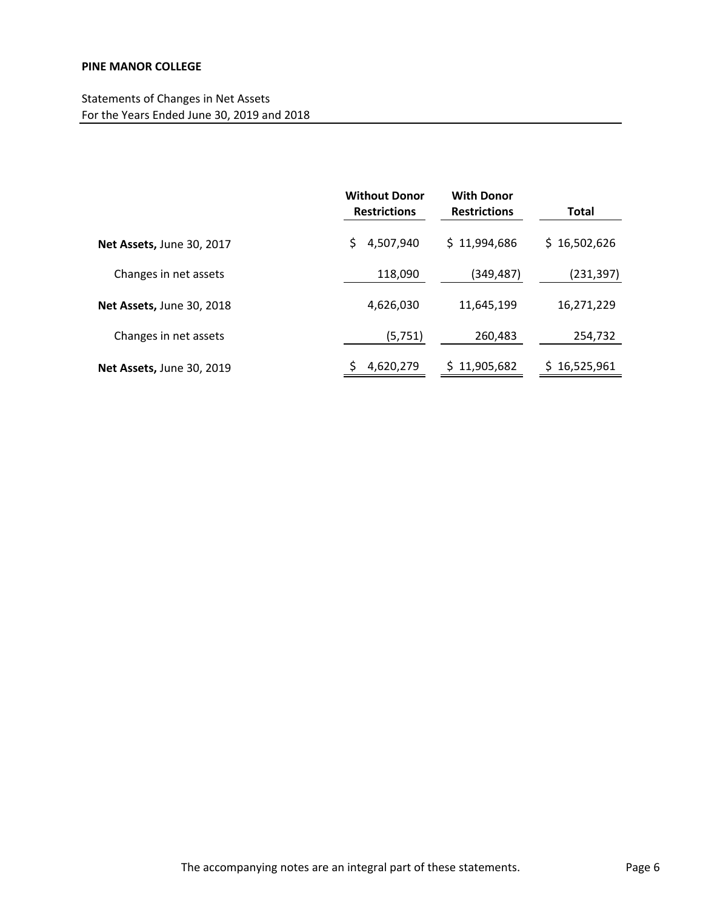|                                  | <b>Without Donor</b><br><b>With Donor</b><br><b>Restrictions</b><br><b>Restrictions</b> |                  | <b>Total</b> |
|----------------------------------|-----------------------------------------------------------------------------------------|------------------|--------------|
| Net Assets, June 30, 2017        | 4,507,940<br>\$                                                                         | \$11,994,686     | \$16,502,626 |
| Changes in net assets            | 118,090                                                                                 | (349,487)        | (231,397)    |
| Net Assets, June 30, 2018        | 4,626,030                                                                               | 11,645,199       | 16,271,229   |
| Changes in net assets            | (5, 751)                                                                                | 260,483          | 254,732      |
| <b>Net Assets, June 30, 2019</b> | 4,620,279                                                                               | 11,905,682<br>Ś. | 16,525,961   |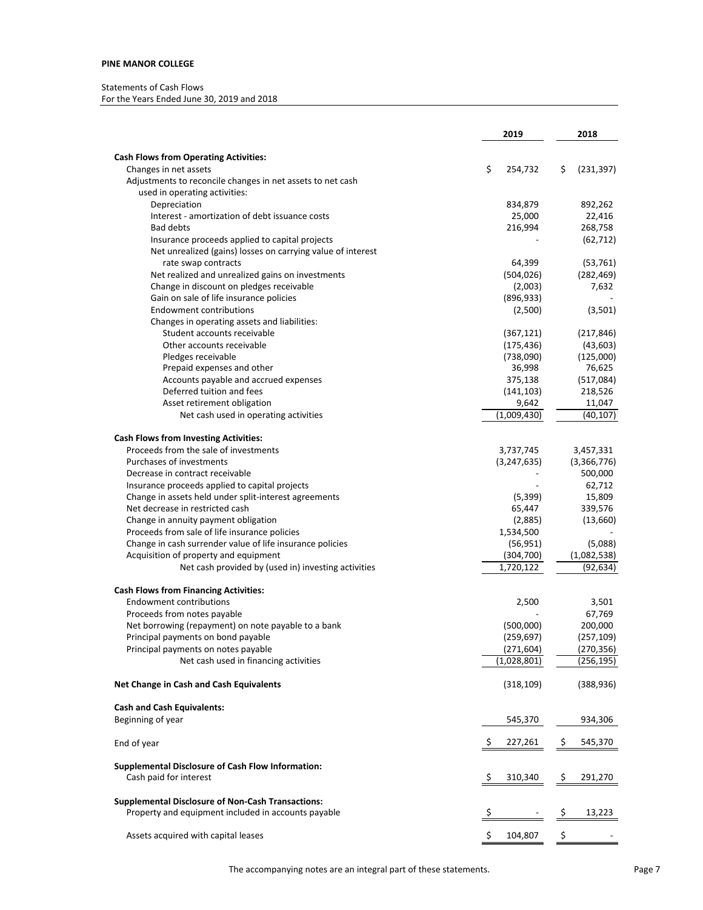#### Statements of Cash Flows

For the Years Ended June 30, 2019 and 2018

|                                                                                       | 2019           | 2018                   |
|---------------------------------------------------------------------------------------|----------------|------------------------|
| <b>Cash Flows from Operating Activities:</b>                                          |                |                        |
| Changes in net assets                                                                 | \$<br>254,732  | \$<br>(231, 397)       |
| Adjustments to reconcile changes in net assets to net cash                            |                |                        |
| used in operating activities:                                                         |                |                        |
| Depreciation                                                                          | 834,879        | 892,262                |
| Interest - amortization of debt issuance costs                                        | 25,000         | 22,416                 |
| <b>Bad debts</b>                                                                      | 216,994        | 268,758                |
| Insurance proceeds applied to capital projects                                        |                | (62, 712)              |
| Net unrealized (gains) losses on carrying value of interest                           |                |                        |
| rate swap contracts                                                                   | 64,399         | (53, 761)              |
| Net realized and unrealized gains on investments                                      | (504, 026)     | (282, 469)             |
| Change in discount on pledges receivable                                              | (2,003)        | 7,632                  |
| Gain on sale of life insurance policies                                               | (896, 933)     |                        |
| <b>Endowment contributions</b>                                                        | (2,500)        | (3,501)                |
| Changes in operating assets and liabilities:<br>Student accounts receivable           | (367, 121)     | (217, 846)             |
| Other accounts receivable                                                             | (175, 436)     | (43, 603)              |
| Pledges receivable                                                                    | (738,090)      | (125,000)              |
| Prepaid expenses and other                                                            | 36,998         | 76,625                 |
| Accounts payable and accrued expenses                                                 | 375,138        | (517,084)              |
| Deferred tuition and fees                                                             | (141, 103)     | 218,526                |
| Asset retirement obligation                                                           | 9,642          | 11,047                 |
| Net cash used in operating activities                                                 | (1,009,430)    | (40, 107)              |
|                                                                                       |                |                        |
| <b>Cash Flows from Investing Activities:</b><br>Proceeds from the sale of investments |                |                        |
| Purchases of investments                                                              | 3,737,745      | 3,457,331              |
| Decrease in contract receivable                                                       | (3, 247, 635)  | (3,366,776)<br>500,000 |
| Insurance proceeds applied to capital projects                                        |                | 62,712                 |
| Change in assets held under split-interest agreements                                 | (5, 399)       | 15,809                 |
| Net decrease in restricted cash                                                       | 65,447         | 339,576                |
| Change in annuity payment obligation                                                  | (2,885)        | (13,660)               |
| Proceeds from sale of life insurance policies                                         | 1,534,500      |                        |
| Change in cash surrender value of life insurance policies                             | (56, 951)      | (5,088)                |
| Acquisition of property and equipment                                                 | (304, 700)     | (1,082,538)            |
| Net cash provided by (used in) investing activities                                   | 1,720,122      | (92,634)               |
| <b>Cash Flows from Financing Activities:</b>                                          |                |                        |
| <b>Endowment contributions</b>                                                        | 2,500          | 3,501                  |
| Proceeds from notes payable                                                           |                | 67,769                 |
| Net borrowing (repayment) on note payable to a bank                                   | (500,000)      | 200,000                |
| Principal payments on bond payable                                                    | (259, 697)     | (257, 109)             |
| Principal payments on notes payable                                                   | (271, 604)     | (270, 356)             |
| Net cash used in financing activities                                                 | (1,028,801)    | (256,195)              |
| Net Change in Cash and Cash Equivalents                                               | (318, 109)     | (388, 936)             |
| <b>Cash and Cash Equivalents:</b>                                                     |                |                        |
| Beginning of year                                                                     | 545,370        | 934,306                |
|                                                                                       |                |                        |
| End of year                                                                           | \$.<br>227,261 | \$<br>545,370          |
| <b>Supplemental Disclosure of Cash Flow Information:</b>                              |                |                        |
| Cash paid for interest                                                                | Ş<br>310,340   | 291,270<br>Ş           |
| <b>Supplemental Disclosure of Non-Cash Transactions:</b>                              |                |                        |
| Property and equipment included in accounts payable                                   | Ş              | 13,223<br>Ş            |
|                                                                                       |                |                        |
| Assets acquired with capital leases                                                   | \$<br>104,807  | \$                     |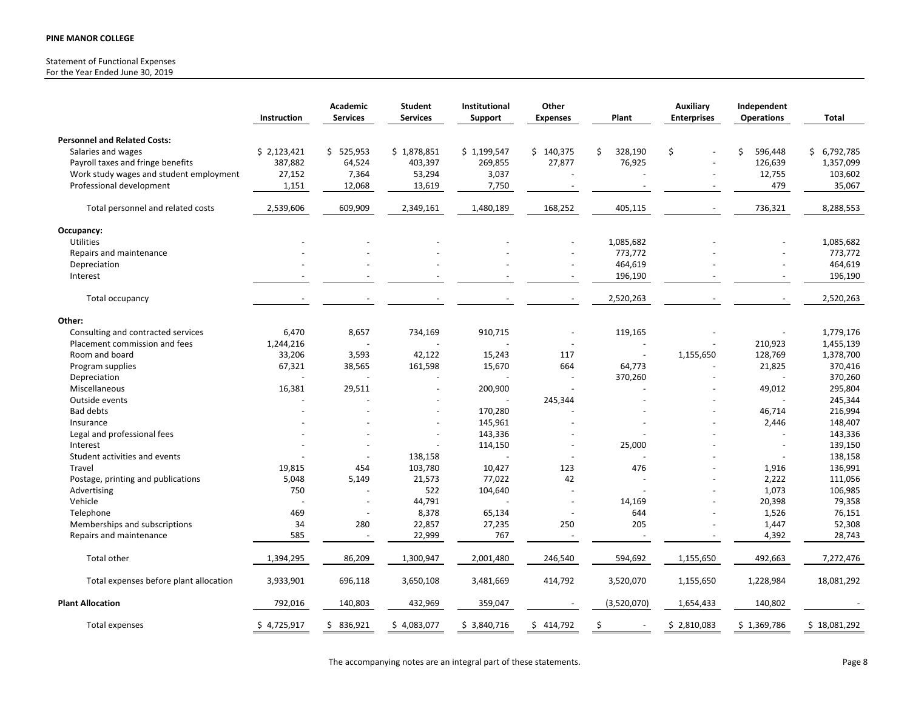# Statement of Functional Expenses

For the Year Ended June 30, 2019

|                                         | Instruction | Academic<br><b>Services</b> | <b>Student</b><br><b>Services</b> | Institutional<br>Support | Other<br><b>Expenses</b> | Plant                    | <b>Auxiliary</b><br><b>Enterprises</b> | Independent<br><b>Operations</b> | Total        |
|-----------------------------------------|-------------|-----------------------------|-----------------------------------|--------------------------|--------------------------|--------------------------|----------------------------------------|----------------------------------|--------------|
| <b>Personnel and Related Costs:</b>     |             |                             |                                   |                          |                          |                          |                                        |                                  |              |
| Salaries and wages                      | \$2,123,421 | \$525,953                   | \$1,878,851                       | \$1,199,547              | \$140,375                | \$<br>328,190            | \$                                     | \$<br>596,448                    | \$6,792,785  |
| Payroll taxes and fringe benefits       | 387,882     | 64,524                      | 403,397                           | 269,855                  | 27,877                   | 76,925                   |                                        | 126,639                          | 1,357,099    |
| Work study wages and student employment | 27,152      | 7,364                       | 53,294                            | 3,037                    |                          |                          |                                        | 12,755                           | 103,602      |
| Professional development                | 1,151       | 12,068                      | 13,619                            | 7,750                    |                          |                          |                                        | 479                              | 35,067       |
| Total personnel and related costs       | 2,539,606   | 609,909                     | 2,349,161                         | 1,480,189                | 168,252                  | 405,115                  |                                        | 736,321                          | 8,288,553    |
| Occupancy:                              |             |                             |                                   |                          |                          |                          |                                        |                                  |              |
| Utilities                               |             |                             |                                   |                          |                          | 1,085,682                |                                        |                                  | 1,085,682    |
| Repairs and maintenance                 |             |                             |                                   |                          |                          | 773,772                  |                                        |                                  | 773,772      |
| Depreciation                            |             |                             |                                   |                          |                          | 464,619                  |                                        |                                  | 464,619      |
| Interest                                |             |                             |                                   |                          |                          | 196,190                  |                                        |                                  | 196,190      |
| Total occupancy                         |             |                             |                                   |                          |                          | 2,520,263                |                                        |                                  | 2,520,263    |
| Other:                                  |             |                             |                                   |                          |                          |                          |                                        |                                  |              |
| Consulting and contracted services      | 6,470       | 8,657                       | 734,169                           | 910,715                  |                          | 119,165                  |                                        |                                  | 1,779,176    |
| Placement commission and fees           | 1,244,216   |                             |                                   |                          |                          | $\overline{a}$           |                                        | 210,923                          | 1,455,139    |
| Room and board                          | 33,206      | 3,593                       | 42,122                            | 15,243                   | 117                      | $\overline{\phantom{a}}$ | 1,155,650                              | 128,769                          | 1,378,700    |
| Program supplies                        | 67,321      | 38,565                      | 161,598                           | 15,670                   | 664                      | 64,773                   |                                        | 21,825                           | 370,416      |
| Depreciation                            |             |                             |                                   |                          |                          | 370,260                  |                                        |                                  | 370,260      |
| Miscellaneous                           | 16,381      | 29,511                      |                                   | 200,900                  |                          |                          |                                        | 49,012                           | 295,804      |
| Outside events                          |             |                             |                                   |                          | 245,344                  |                          |                                        | $\overline{\phantom{a}}$         | 245,344      |
| <b>Bad debts</b>                        |             |                             |                                   | 170,280                  |                          |                          |                                        | 46,714                           | 216,994      |
| Insurance                               |             |                             |                                   | 145,961                  |                          |                          |                                        | 2,446                            | 148,407      |
| Legal and professional fees             |             |                             |                                   | 143,336                  |                          |                          |                                        |                                  | 143,336      |
| Interest                                |             |                             |                                   | 114,150                  |                          | 25,000                   |                                        | $\blacksquare$                   | 139,150      |
| Student activities and events           |             |                             | 138,158                           |                          |                          |                          |                                        | $\overline{\phantom{a}}$         | 138,158      |
| Travel                                  | 19,815      | 454                         | 103,780                           | 10,427                   | 123                      | 476                      |                                        | 1,916                            | 136,991      |
| Postage, printing and publications      | 5,048       | 5,149                       | 21,573                            | 77,022                   | 42                       |                          |                                        | 2,222                            | 111,056      |
| Advertising                             | 750         |                             | 522                               | 104,640                  |                          |                          |                                        | 1,073                            | 106,985      |
| Vehicle                                 |             | $\overline{\phantom{a}}$    | 44,791                            |                          | $\overline{\phantom{a}}$ | 14,169                   |                                        | 20,398                           | 79,358       |
| Telephone                               | 469         |                             | 8,378                             | 65,134                   |                          | 644                      |                                        | 1,526                            | 76,151       |
| Memberships and subscriptions           | 34          | 280                         | 22,857                            | 27,235                   | 250                      | 205                      |                                        | 1,447                            | 52,308       |
| Repairs and maintenance                 | 585         |                             | 22,999                            | 767                      |                          |                          |                                        | 4,392                            | 28,743       |
| <b>Total other</b>                      | 1,394,295   | 86,209                      | 1,300,947                         | 2,001,480                | 246,540                  | 594,692                  | 1,155,650                              | 492,663                          | 7,272,476    |
| Total expenses before plant allocation  | 3,933,901   | 696,118                     | 3,650,108                         | 3,481,669                | 414,792                  | 3,520,070                | 1,155,650                              | 1,228,984                        | 18,081,292   |
| <b>Plant Allocation</b>                 | 792,016     | 140,803                     | 432,969                           | 359,047                  |                          | (3,520,070)              | 1,654,433                              | 140,802                          |              |
| Total expenses                          | \$4,725,917 | 836,921<br>\$.              | \$4,083,077                       | \$3,840,716              | 414,792<br>\$            | .\$                      | \$2,810,083                            | \$1,369,786                      | \$18,081,292 |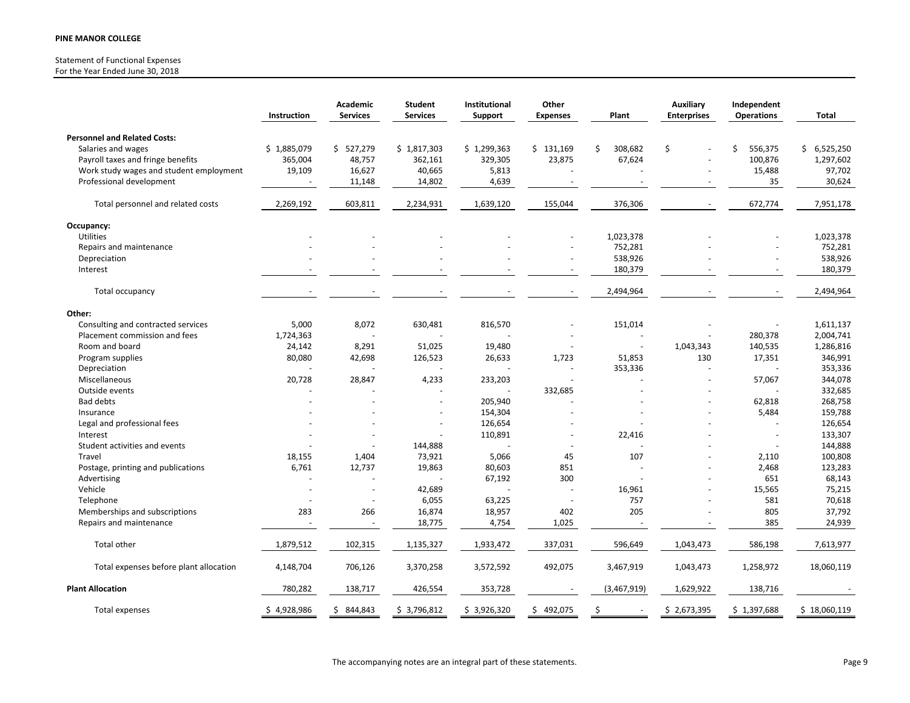#### Statement of Functional Expenses For the Year Ended June 30, 2018

|                                            | Instruction    | Academic<br><b>Services</b>    | <b>Student</b><br><b>Services</b> | Institutional<br>Support | Other<br><b>Expenses</b> | Plant         | <b>Auxiliary</b><br><b>Enterprises</b> | Independent<br><b>Operations</b> | <b>Total</b>     |
|--------------------------------------------|----------------|--------------------------------|-----------------------------------|--------------------------|--------------------------|---------------|----------------------------------------|----------------------------------|------------------|
| <b>Personnel and Related Costs:</b>        |                |                                |                                   |                          |                          |               |                                        |                                  |                  |
| Salaries and wages                         | \$1,885,079    | \$527,279                      | \$1,817,303                       | \$1,299,363              | \$131,169                | Ś.<br>308,682 | Ś.                                     | 556,375<br>Ś                     | \$6,525,250      |
| Payroll taxes and fringe benefits          | 365,004        | 48,757                         | 362,161                           | 329,305                  | 23,875                   | 67,624        |                                        | 100,876                          | 1,297,602        |
| Work study wages and student employment    | 19,109         | 16,627                         | 40,665                            | 5,813                    |                          |               |                                        | 15,488                           | 97,702           |
| Professional development                   | $\blacksquare$ | 11,148                         | 14,802                            | 4,639                    |                          |               |                                        | 35                               | 30,624           |
| Total personnel and related costs          | 2,269,192      | 603,811                        | 2,234,931                         | 1,639,120                | 155,044                  | 376,306       |                                        | 672,774                          | 7,951,178        |
| Occupancy:                                 |                |                                |                                   |                          |                          |               |                                        |                                  |                  |
| Utilities                                  |                |                                |                                   |                          |                          | 1,023,378     |                                        |                                  | 1,023,378        |
| Repairs and maintenance                    |                |                                |                                   |                          |                          | 752,281       |                                        |                                  | 752,281          |
| Depreciation                               |                |                                |                                   |                          |                          | 538,926       |                                        | L,                               | 538,926          |
| Interest                                   |                |                                |                                   |                          |                          | 180,379       |                                        |                                  | 180,379          |
| Total occupancy                            |                |                                |                                   |                          |                          | 2,494,964     |                                        |                                  | 2,494,964        |
| Other:                                     |                |                                |                                   |                          |                          |               |                                        |                                  |                  |
| Consulting and contracted services         | 5,000          | 8,072                          | 630,481                           | 816,570                  |                          | 151,014       |                                        |                                  | 1,611,137        |
| Placement commission and fees              | 1,724,363      |                                |                                   |                          |                          |               |                                        | 280,378                          | 2,004,741        |
| Room and board                             | 24,142         | 8,291                          | 51,025                            | 19,480                   |                          |               | 1,043,343                              | 140,535                          | 1,286,816        |
| Program supplies                           | 80,080         | 42,698                         | 126,523                           | 26,633                   | 1,723                    | 51,853        | 130                                    | 17,351                           | 346,991          |
| Depreciation                               |                |                                |                                   |                          |                          | 353,336       |                                        |                                  | 353,336          |
| Miscellaneous                              | 20,728         | 28,847                         | 4,233                             | 233,203                  |                          |               |                                        | 57,067                           | 344,078          |
| Outside events                             |                |                                |                                   |                          | 332,685                  |               |                                        |                                  | 332,685          |
| <b>Bad debts</b>                           |                |                                |                                   | 205,940                  |                          |               |                                        | 62,818                           | 268,758          |
| Insurance                                  |                |                                |                                   | 154,304                  |                          |               |                                        | 5,484                            | 159,788          |
| Legal and professional fees                |                |                                |                                   | 126,654                  |                          |               |                                        | L.                               | 126,654          |
| Interest                                   |                |                                |                                   | 110,891                  |                          | 22,416        |                                        |                                  | 133,307          |
| Student activities and events              |                |                                | 144,888                           |                          |                          |               |                                        |                                  | 144,888          |
| Travel                                     | 18,155         | 1,404                          | 73,921                            | 5,066                    | 45                       | 107           |                                        | 2,110                            | 100,808          |
| Postage, printing and publications         | 6,761          | 12,737                         | 19,863                            | 80,603                   | 851                      |               |                                        | 2,468                            | 123,283          |
| Advertising                                |                |                                |                                   | 67,192                   | 300                      |               |                                        | 651                              | 68,143           |
| Vehicle                                    |                | $\overline{\phantom{a}}$<br>ä, | 42,689<br>6,055                   |                          |                          | 16,961<br>757 |                                        | 15,565<br>581                    | 75,215<br>70,618 |
| Telephone<br>Memberships and subscriptions | 283            | 266                            | 16,874                            | 63,225<br>18,957         | 402                      | 205           |                                        | 805                              | 37,792           |
| Repairs and maintenance                    |                |                                | 18,775                            | 4,754                    | 1,025                    |               |                                        | 385                              | 24,939           |
|                                            |                |                                |                                   |                          |                          |               |                                        |                                  |                  |
| Total other                                | 1,879,512      | 102,315                        | 1,135,327                         | 1,933,472                | 337,031                  | 596,649       | 1,043,473                              | 586,198                          | 7,613,977        |
| Total expenses before plant allocation     | 4,148,704      | 706,126                        | 3,370,258                         | 3,572,592                | 492,075                  | 3,467,919     | 1,043,473                              | 1,258,972                        | 18,060,119       |
| <b>Plant Allocation</b>                    | 780,282        | 138,717                        | 426,554                           | 353,728                  |                          | (3,467,919)   | 1,629,922                              | 138,716                          |                  |
| Total expenses                             | \$4,928,986    | \$844,843                      | \$3,796,812                       | \$3,926,320              | \$492,075                | \$            | \$2,673,395                            | \$1,397,688                      | \$18,060,119     |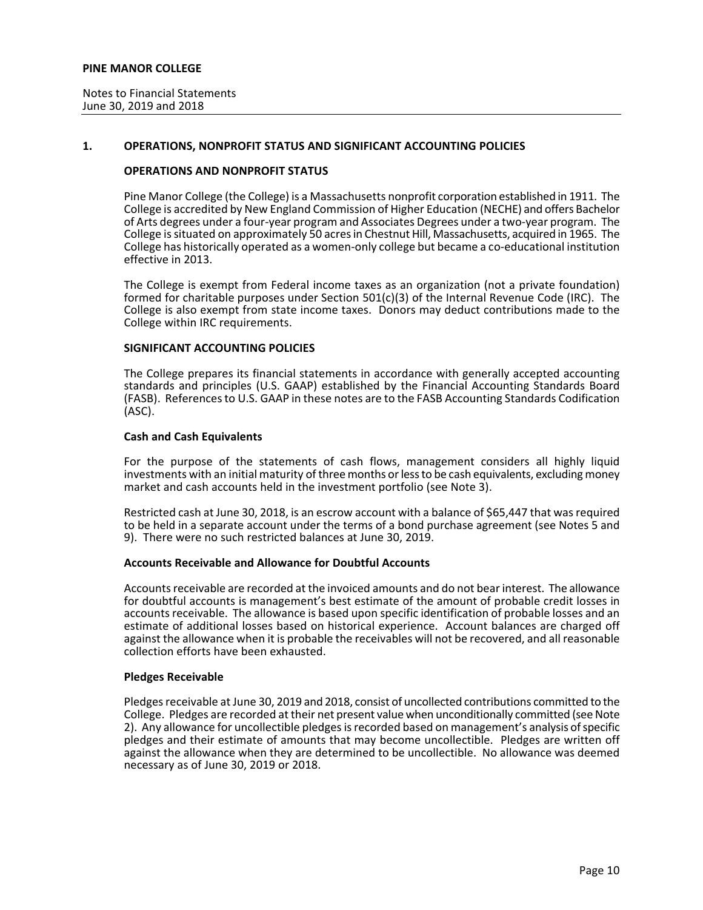## **1. OPERATIONS, NONPROFIT STATUS AND SIGNIFICANT ACCOUNTING POLICIES**

## **OPERATIONS AND NONPROFIT STATUS**

Pine Manor College (the College) is a Massachusetts nonprofit corporation established in 1911. The College is accredited by New England Commission of Higher Education (NECHE) and offers Bachelor of Arts degrees under a four-year program and Associates Degrees under a two-year program. The College is situated on approximately 50 acres in Chestnut Hill, Massachusetts, acquired in 1965. The College has historically operated as a women-only college but became a co-educational institution effective in 2013.

The College is exempt from Federal income taxes as an organization (not a private foundation) formed for charitable purposes under Section 501(c)(3) of the Internal Revenue Code (IRC). The College is also exempt from state income taxes. Donors may deduct contributions made to the College within IRC requirements.

#### **SIGNIFICANT ACCOUNTING POLICIES**

The College prepares its financial statements in accordance with generally accepted accounting standards and principles (U.S. GAAP) established by the Financial Accounting Standards Board (FASB). References to U.S. GAAP in these notes are to the FASB Accounting Standards Codification (ASC).

## **Cash and Cash Equivalents**

For the purpose of the statements of cash flows, management considers all highly liquid investments with an initial maturity of three months or less to be cash equivalents, excluding money market and cash accounts held in the investment portfolio (see Note 3).

Restricted cash at June 30, 2018, is an escrow account with a balance of \$65,447 that was required to be held in a separate account under the terms of a bond purchase agreement (see Notes 5 and 9). There were no such restricted balances at June 30, 2019.

## **Accounts Receivable and Allowance for Doubtful Accounts**

Accounts receivable are recorded at the invoiced amounts and do not bear interest. The allowance for doubtful accounts is management's best estimate of the amount of probable credit losses in accounts receivable. The allowance is based upon specific identification of probable losses and an estimate of additional losses based on historical experience. Account balances are charged off against the allowance when it is probable the receivables will not be recovered, and all reasonable collection efforts have been exhausted.

#### **Pledges Receivable**

Pledges receivable at June 30, 2019 and 2018, consist of uncollected contributions committed to the College. Pledges are recorded at their net present value when unconditionally committed (see Note 2). Any allowance for uncollectible pledges is recorded based on management's analysis of specific pledges and their estimate of amounts that may become uncollectible. Pledges are written off against the allowance when they are determined to be uncollectible. No allowance was deemed necessary as of June 30, 2019 or 2018.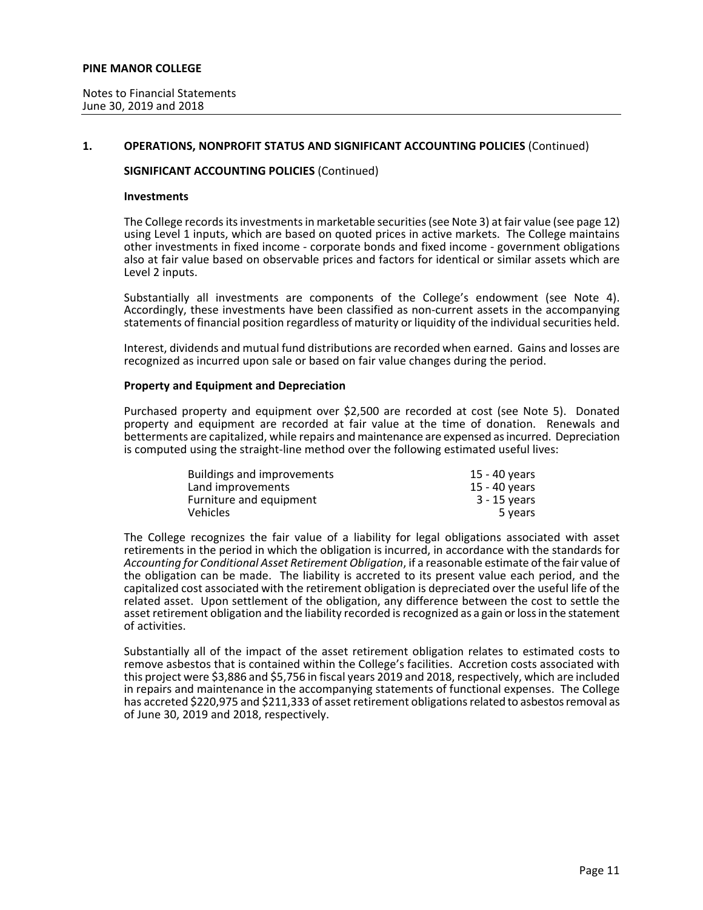## **1. OPERATIONS, NONPROFIT STATUS AND SIGNIFICANT ACCOUNTING POLICIES** (Continued)

## **SIGNIFICANT ACCOUNTING POLICIES** (Continued)

#### **Investments**

The College records its investments in marketable securities (see Note 3) at fair value (see page 12) using Level 1 inputs, which are based on quoted prices in active markets. The College maintains other investments in fixed income - corporate bonds and fixed income - government obligations also at fair value based on observable prices and factors for identical or similar assets which are Level 2 inputs.

Substantially all investments are components of the College's endowment (see Note 4). Accordingly, these investments have been classified as non-current assets in the accompanying statements of financial position regardless of maturity or liquidity of the individual securities held.

Interest, dividends and mutual fund distributions are recorded when earned. Gains and losses are recognized as incurred upon sale or based on fair value changes during the period.

## **Property and Equipment and Depreciation**

Purchased property and equipment over \$2,500 are recorded at cost (see Note 5). Donated property and equipment are recorded at fair value at the time of donation. Renewals and betterments are capitalized, while repairs and maintenance are expensed as incurred. Depreciation is computed using the straight-line method over the following estimated useful lives:

| <b>Buildings and improvements</b> | 15 - 40 vears |
|-----------------------------------|---------------|
| Land improvements                 | 15 - 40 years |
| Furniture and equipment           | 3 - 15 years  |
| <b>Vehicles</b>                   | 5 years       |

The College recognizes the fair value of a liability for legal obligations associated with asset retirements in the period in which the obligation is incurred, in accordance with the standards for *Accounting for Conditional Asset Retirement Obligation*, if a reasonable estimate of the fair value of the obligation can be made. The liability is accreted to its present value each period, and the capitalized cost associated with the retirement obligation is depreciated over the useful life of the related asset. Upon settlement of the obligation, any difference between the cost to settle the asset retirement obligation and the liability recorded is recognized as a gain or loss in the statement of activities.

Substantially all of the impact of the asset retirement obligation relates to estimated costs to remove asbestos that is contained within the College's facilities. Accretion costs associated with this project were \$3,886 and \$5,756 in fiscal years 2019 and 2018, respectively, which are included in repairs and maintenance in the accompanying statements of functional expenses. The College has accreted \$220,975 and \$211,333 of asset retirement obligations related to asbestos removal as of June 30, 2019 and 2018, respectively.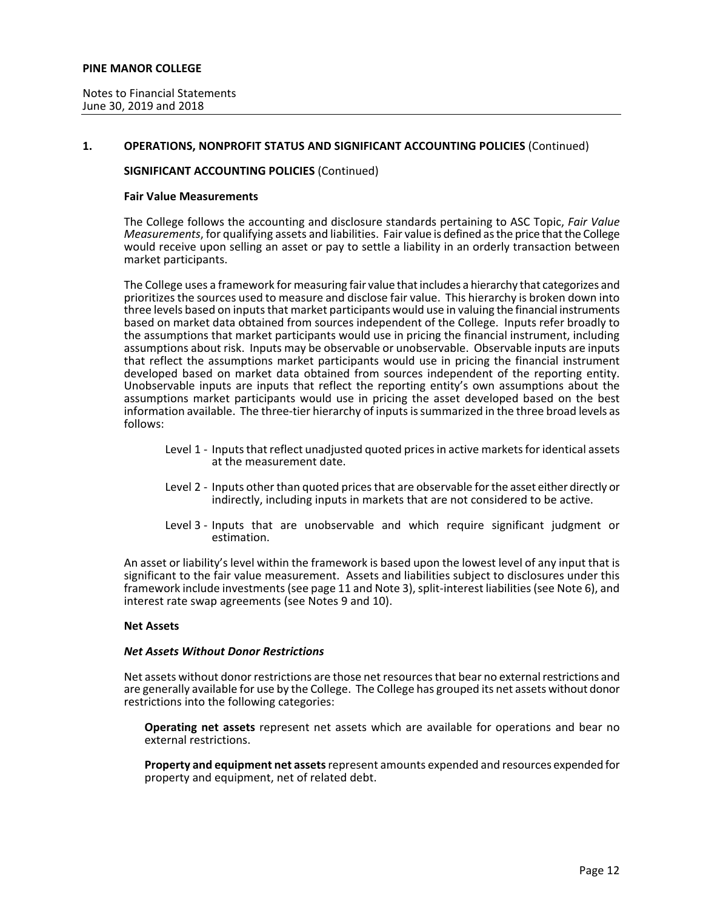## **1. OPERATIONS, NONPROFIT STATUS AND SIGNIFICANT ACCOUNTING POLICIES** (Continued)

## **SIGNIFICANT ACCOUNTING POLICIES** (Continued)

#### **Fair Value Measurements**

The College follows the accounting and disclosure standards pertaining to ASC Topic, *Fair Value Measurements*, for qualifying assets and liabilities. Fair value is defined as the price that the College would receive upon selling an asset or pay to settle a liability in an orderly transaction between market participants.

The College uses a framework for measuring fair value that includes a hierarchy that categorizes and prioritizes the sources used to measure and disclose fair value. This hierarchy is broken down into three levels based on inputs that market participants would use in valuing the financial instruments based on market data obtained from sources independent of the College. Inputs refer broadly to the assumptions that market participants would use in pricing the financial instrument, including assumptions about risk. Inputs may be observable or unobservable. Observable inputs are inputs that reflect the assumptions market participants would use in pricing the financial instrument developed based on market data obtained from sources independent of the reporting entity. Unobservable inputs are inputs that reflect the reporting entity's own assumptions about the assumptions market participants would use in pricing the asset developed based on the best information available. The three-tier hierarchy of inputs is summarized in the three broad levels as follows:

- Level 1 Inputs that reflect unadjusted quoted prices in active markets for identical assets at the measurement date.
- Level 2 Inputs other than quoted prices that are observable for the asset either directly or indirectly, including inputs in markets that are not considered to be active.
- Level 3 Inputs that are unobservable and which require significant judgment or estimation.

An asset or liability's level within the framework is based upon the lowest level of any input that is significant to the fair value measurement. Assets and liabilities subject to disclosures under this framework include investments (see page 11 and Note 3), split-interest liabilities (see Note 6), and interest rate swap agreements (see Notes 9 and 10).

#### **Net Assets**

#### *Net Assets Without Donor Restrictions*

Net assets without donor restrictions are those net resources that bear no external restrictions and are generally available for use by the College. The College has grouped its net assets without donor restrictions into the following categories:

**Operating net assets** represent net assets which are available for operations and bear no external restrictions.

**Property and equipment net assets**represent amounts expended and resources expended for property and equipment, net of related debt.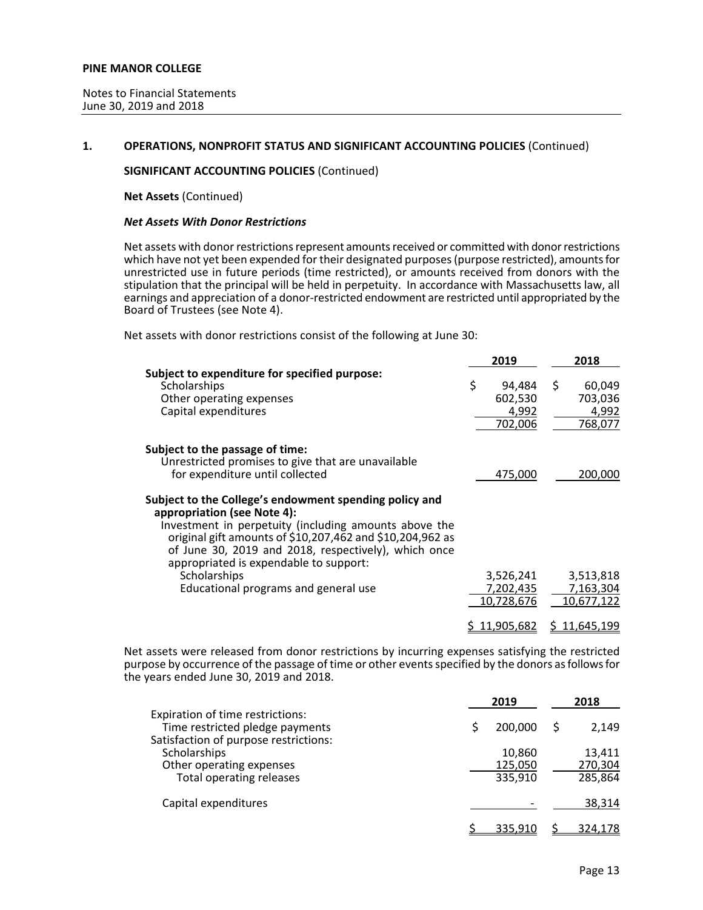## **1. OPERATIONS, NONPROFIT STATUS AND SIGNIFICANT ACCOUNTING POLICIES** (Continued)

**SIGNIFICANT ACCOUNTING POLICIES** (Continued)

**Net Assets** (Continued)

#### *Net Assets With Donor Restrictions*

Net assets with donor restrictions represent amounts received or committed with donor restrictions which have not yet been expended for their designated purposes(purpose restricted), amounts for unrestricted use in future periods (time restricted), or amounts received from donors with the stipulation that the principal will be held in perpetuity. In accordance with Massachusetts law, all earnings and appreciation of a donor-restricted endowment are restricted until appropriated by the Board of Trustees (see Note 4).

Net assets with donor restrictions consist of the following at June 30:

|                                                                                                                                                                                                                                                                                                                               | 2019                                        | 2018                                        |
|-------------------------------------------------------------------------------------------------------------------------------------------------------------------------------------------------------------------------------------------------------------------------------------------------------------------------------|---------------------------------------------|---------------------------------------------|
| Subject to expenditure for specified purpose:<br>Scholarships<br>Other operating expenses<br>Capital expenditures                                                                                                                                                                                                             | \$<br>94,484<br>602,530<br>4,992<br>702,006 | \$<br>60,049<br>703,036<br>4,992<br>768,077 |
| Subject to the passage of time:<br>Unrestricted promises to give that are unavailable<br>for expenditure until collected                                                                                                                                                                                                      | 475,000                                     | 200,000                                     |
| Subject to the College's endowment spending policy and<br>appropriation (see Note 4):<br>Investment in perpetuity (including amounts above the<br>original gift amounts of \$10,207,462 and \$10,204,962 as<br>of June 30, 2019 and 2018, respectively), which once<br>appropriated is expendable to support:<br>Scholarships | 3,526,241                                   | 3,513,818                                   |
| Educational programs and general use                                                                                                                                                                                                                                                                                          | 7,202,435<br>10,728,676                     | 7,163,304<br>10,677,122                     |
|                                                                                                                                                                                                                                                                                                                               | <u>11,905,682</u>                           | 11.645.199                                  |

Net assets were released from donor restrictions by incurring expenses satisfying the restricted purpose by occurrence of the passage of time or other events specified by the donors as follows for the years ended June 30, 2019 and 2018.

|                                                                                                              | 2019                         | 2018                         |
|--------------------------------------------------------------------------------------------------------------|------------------------------|------------------------------|
| Expiration of time restrictions:<br>Time restricted pledge payments<br>Satisfaction of purpose restrictions: | 200,000                      | 2,149                        |
| Scholarships<br>Other operating expenses<br><b>Total operating releases</b>                                  | 10,860<br>125,050<br>335,910 | 13,411<br>270,304<br>285,864 |
| Capital expenditures                                                                                         |                              | 38,314                       |
|                                                                                                              | 335,910                      | 324,178                      |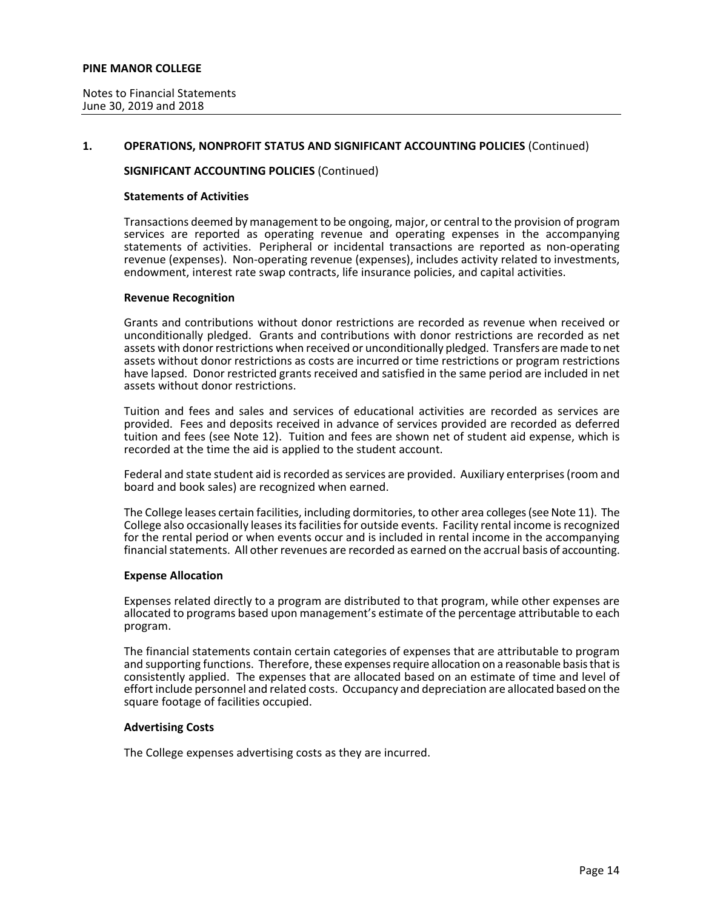## **1. OPERATIONS, NONPROFIT STATUS AND SIGNIFICANT ACCOUNTING POLICIES** (Continued)

## **SIGNIFICANT ACCOUNTING POLICIES** (Continued)

#### **Statements of Activities**

Transactions deemed by management to be ongoing, major, or central to the provision of program services are reported as operating revenue and operating expenses in the accompanying statements of activities. Peripheral or incidental transactions are reported as non-operating revenue (expenses). Non-operating revenue (expenses), includes activity related to investments, endowment, interest rate swap contracts, life insurance policies, and capital activities.

#### **Revenue Recognition**

Grants and contributions without donor restrictions are recorded as revenue when received or unconditionally pledged. Grants and contributions with donor restrictions are recorded as net assets with donor restrictions when received or unconditionally pledged. Transfers are made to net assets without donor restrictions as costs are incurred or time restrictions or program restrictions have lapsed. Donor restricted grants received and satisfied in the same period are included in net assets without donor restrictions.

Tuition and fees and sales and services of educational activities are recorded as services are provided. Fees and deposits received in advance of services provided are recorded as deferred tuition and fees (see Note 12). Tuition and fees are shown net of student aid expense, which is recorded at the time the aid is applied to the student account.

Federal and state student aid is recorded as services are provided. Auxiliary enterprises (room and board and book sales) are recognized when earned.

The College leases certain facilities, including dormitories, to other area colleges(see Note 11). The College also occasionally leases its facilities for outside events. Facility rental income is recognized for the rental period or when events occur and is included in rental income in the accompanying financial statements. All other revenues are recorded as earned on the accrual basis of accounting.

#### **Expense Allocation**

Expenses related directly to a program are distributed to that program, while other expenses are allocated to programs based upon management's estimate of the percentage attributable to each program.

The financial statements contain certain categories of expenses that are attributable to program and supporting functions. Therefore, these expenses require allocation on a reasonable basis that is consistently applied. The expenses that are allocated based on an estimate of time and level of effort include personnel and related costs. Occupancy and depreciation are allocated based on the square footage of facilities occupied.

#### **Advertising Costs**

The College expenses advertising costs as they are incurred.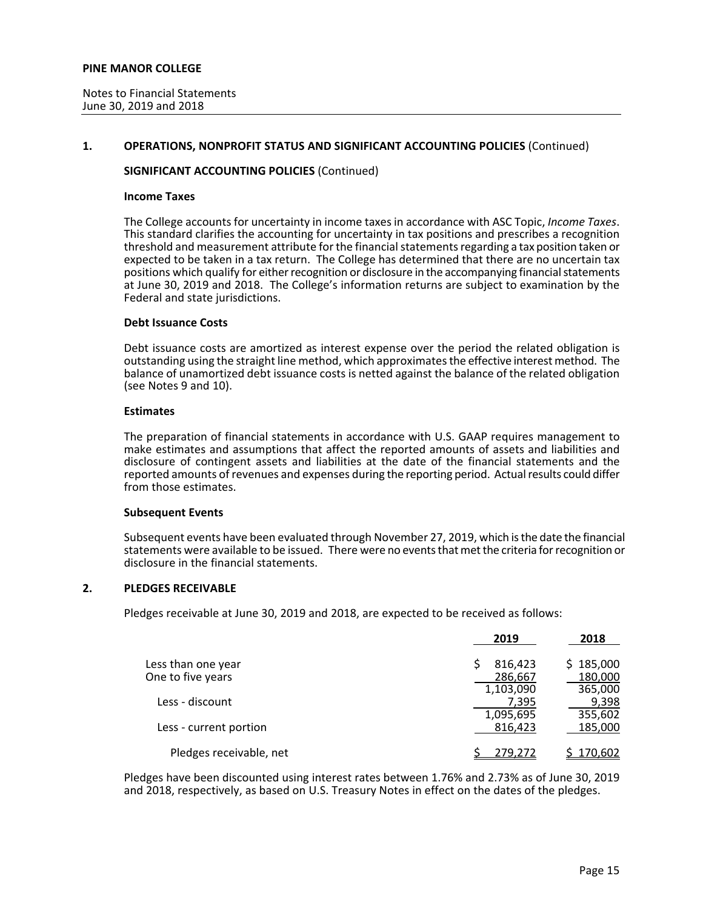## **1. OPERATIONS, NONPROFIT STATUS AND SIGNIFICANT ACCOUNTING POLICIES** (Continued)

## **SIGNIFICANT ACCOUNTING POLICIES** (Continued)

#### **Income Taxes**

The College accounts for uncertainty in income taxes in accordance with ASC Topic, *Income Taxes*. This standard clarifies the accounting for uncertainty in tax positions and prescribes a recognition threshold and measurement attribute for the financial statements regarding a tax position taken or expected to be taken in a tax return. The College has determined that there are no uncertain tax positions which qualify for either recognition or disclosure in the accompanying financial statements at June 30, 2019 and 2018. The College's information returns are subject to examination by the Federal and state jurisdictions.

## **Debt Issuance Costs**

Debt issuance costs are amortized as interest expense over the period the related obligation is outstanding using the straight line method, which approximates the effective interest method. The balance of unamortized debt issuance costs is netted against the balance of the related obligation (see Notes 9 and 10).

#### **Estimates**

The preparation of financial statements in accordance with U.S. GAAP requires management to make estimates and assumptions that affect the reported amounts of assets and liabilities and disclosure of contingent assets and liabilities at the date of the financial statements and the reported amounts of revenues and expenses during the reporting period. Actual results could differ from those estimates.

#### **Subsequent Events**

Subsequent events have been evaluated through November 27, 2019, which is the date the financial statements were available to be issued. There were no events that met the criteria for recognition or disclosure in the financial statements.

## **2. PLEDGES RECEIVABLE**

Pledges receivable at June 30, 2019 and 2018, are expected to be received as follows:

|                         | 2019      | 2018      |
|-------------------------|-----------|-----------|
| Less than one year      | 816,423   | \$185,000 |
| One to five years       | 286,667   | 180,000   |
|                         | 1,103,090 | 365,000   |
| Less - discount         | 7,395     | 9,398     |
|                         | 1,095,695 | 355,602   |
| Less - current portion  | 816.423   | 185,000   |
| Pledges receivable, net | 279.272   | 170,602   |

Pledges have been discounted using interest rates between 1.76% and 2.73% as of June 30, 2019 and 2018, respectively, as based on U.S. Treasury Notes in effect on the dates of the pledges.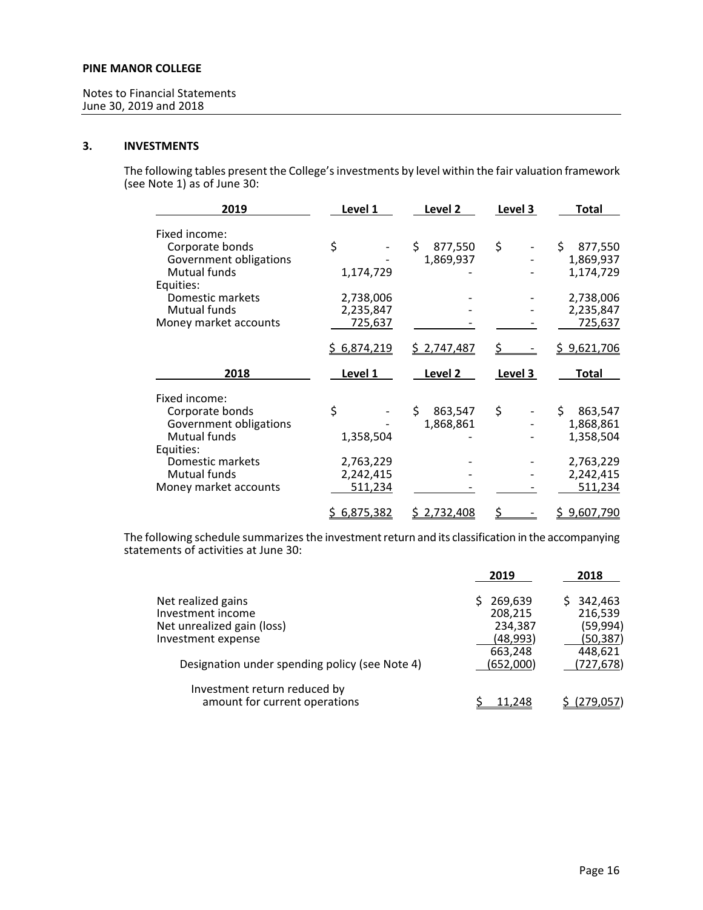# **3. INVESTMENTS**

The following tables present the College's investments by level within the fair valuation framework (see Note 1) as of June 30:

| 2019                   | Level 1     | Level 2            | Level 3 | Total              |
|------------------------|-------------|--------------------|---------|--------------------|
| Fixed income:          |             |                    |         |                    |
| Corporate bonds        | \$          | \$<br>877,550      | \$      | Ś.<br>877,550      |
| Government obligations |             | 1,869,937          |         | 1,869,937          |
| Mutual funds           | 1,174,729   |                    |         | 1,174,729          |
| Equities:              |             |                    |         |                    |
| Domestic markets       | 2,738,006   |                    |         | 2,738,006          |
| Mutual funds           | 2,235,847   |                    |         | 2,235,847          |
| Money market accounts  | 725,637     |                    |         | 725,637            |
|                        | \$6,874,219 | <u>\$2,747,487</u> |         | <u>\$9,621,706</u> |
| 2018                   | Level 1     | Level 2            | Level 3 | Total              |
| Fixed income:          |             |                    |         |                    |
| Corporate bonds        | \$          | \$<br>863,547      | \$      | \$<br>863,547      |
| Government obligations |             | 1,868,861          |         | 1,868,861          |
| Mutual funds           | 1,358,504   |                    |         | 1,358,504          |
| Equities:              |             |                    |         |                    |
| Domestic markets       | 2,763,229   |                    |         | 2,763,229          |
| Mutual funds           | 2,242,415   |                    |         | 2,242,415          |
| Money market accounts  | 511,234     |                    |         | 511,234            |
|                        | 6,875,382   | <u>\$2,732,408</u> | \$      | 9,607,790          |

The following schedule summarizes the investment return and its classification in the accompanying statements of activities at June 30:

| 2019      | 2018                            |
|-----------|---------------------------------|
| 269,639   | 342,463                         |
|           | 216,539                         |
| 234,387   | (59, 994)                       |
| (48, 993) | (50, 387)                       |
|           | 448,621                         |
|           | (727, 678)                      |
|           |                                 |
| 11.248    | (279.057)                       |
|           | 208,215<br>663,248<br>(652,000) |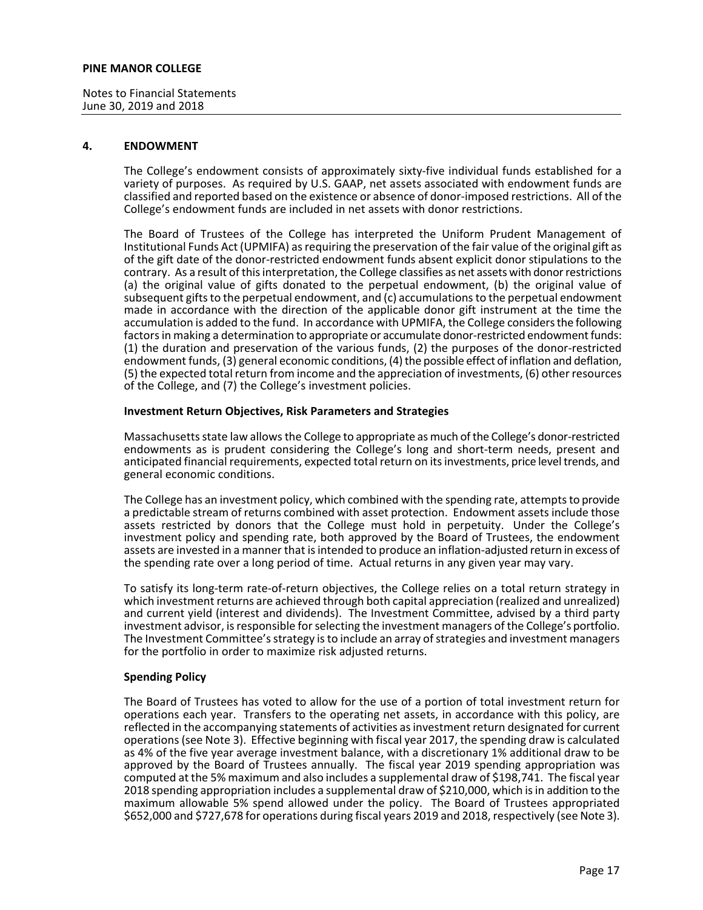Notes to Financial Statements June 30, 2019 and 2018

## **4. ENDOWMENT**

The College's endowment consists of approximately sixty-five individual funds established for a variety of purposes. As required by U.S. GAAP, net assets associated with endowment funds are classified and reported based on the existence or absence of donor-imposed restrictions. All of the College's endowment funds are included in net assets with donor restrictions.

The Board of Trustees of the College has interpreted the Uniform Prudent Management of Institutional Funds Act (UPMIFA) as requiring the preservation of the fair value of the original gift as of the gift date of the donor-restricted endowment funds absent explicit donor stipulations to the contrary. As a result of this interpretation, the College classifies as net assets with donor restrictions (a) the original value of gifts donated to the perpetual endowment, (b) the original value of subsequent gifts to the perpetual endowment, and (c) accumulations to the perpetual endowment made in accordance with the direction of the applicable donor gift instrument at the time the accumulation is added to the fund. In accordance with UPMIFA, the College considers the following factors in making a determination to appropriate or accumulate donor-restricted endowment funds: (1) the duration and preservation of the various funds, (2) the purposes of the donor-restricted endowment funds, (3) general economic conditions, (4) the possible effect of inflation and deflation, (5) the expected total return from income and the appreciation of investments, (6) other resources of the College, and (7) the College's investment policies.

## **Investment Return Objectives, Risk Parameters and Strategies**

Massachusetts state law allows the College to appropriate as much of the College's donor-restricted endowments as is prudent considering the College's long and short-term needs, present and anticipated financial requirements, expected total return on its investments, price level trends, and general economic conditions.

The College has an investment policy, which combined with the spending rate, attempts to provide a predictable stream of returns combined with asset protection. Endowment assets include those assets restricted by donors that the College must hold in perpetuity. Under the College's investment policy and spending rate, both approved by the Board of Trustees, the endowment assets are invested in a manner that is intended to produce an inflation-adjusted return in excess of the spending rate over a long period of time. Actual returns in any given year may vary.

To satisfy its long-term rate-of-return objectives, the College relies on a total return strategy in which investment returns are achieved through both capital appreciation (realized and unrealized) and current yield (interest and dividends). The Investment Committee, advised by a third party investment advisor, is responsible for selecting the investment managers of the College's portfolio. The Investment Committee's strategy is to include an array of strategies and investment managers for the portfolio in order to maximize risk adjusted returns.

## **Spending Policy**

The Board of Trustees has voted to allow for the use of a portion of total investment return for operations each year. Transfers to the operating net assets, in accordance with this policy, are reflected in the accompanying statements of activities as investment return designated for current operations (see Note 3). Effective beginning with fiscal year 2017, the spending draw is calculated as 4% of the five year average investment balance, with a discretionary 1% additional draw to be approved by the Board of Trustees annually. The fiscal year 2019 spending appropriation was computed at the 5% maximum and also includes a supplemental draw of \$198,741. The fiscal year 2018 spending appropriation includes a supplemental draw of \$210,000, which is in addition to the maximum allowable 5% spend allowed under the policy. The Board of Trustees appropriated \$652,000 and \$727,678 for operations during fiscal years 2019 and 2018, respectively (see Note 3).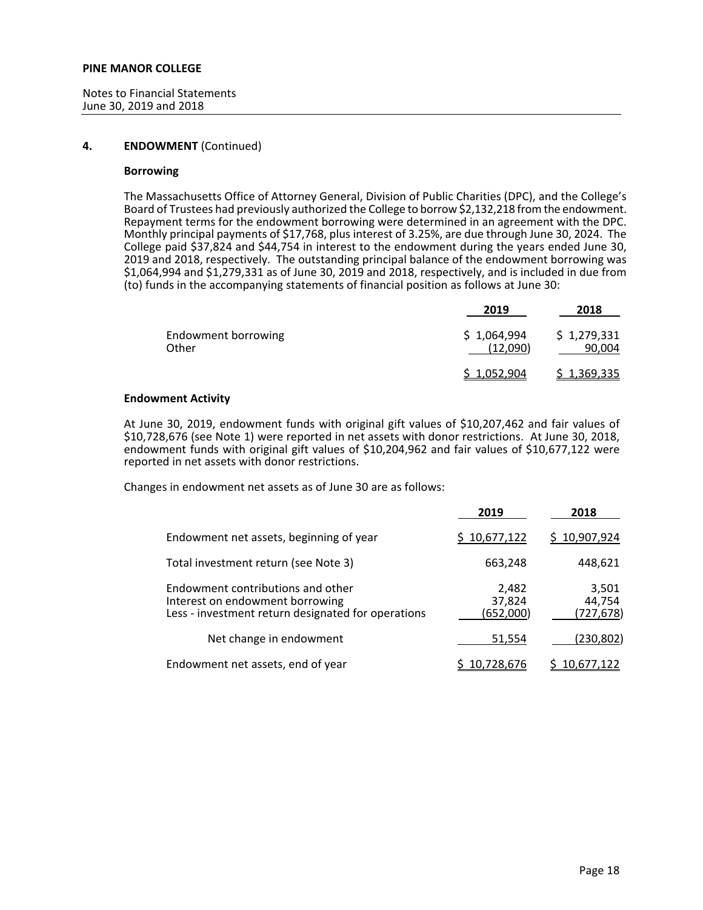Notes to Financial Statements June 30, 2019 and 2018

## **4. ENDOWMENT** (Continued)

## **Borrowing**

The Massachusetts Office of Attorney General, Division of Public Charities (DPC), and the College's Board of Trustees had previously authorized the College to borrow \$2,132,218 from the endowment. Repayment terms for the endowment borrowing were determined in an agreement with the DPC. Monthly principal payments of \$17,768, plus interest of 3.25%, are due through June 30, 2024. The College paid \$37,824 and \$44,754 in interest to the endowment during the years ended June 30, 2019 and 2018, respectively. The outstanding principal balance of the endowment borrowing was  $$1,064,994$  and  $$1,279,331$  as of June 30, 2019 and 2018, respectively, and is included in due from (to) funds in the accompanying statements of financial position as follows at June 30:

|                              | 2019                    | 2018                  |
|------------------------------|-------------------------|-----------------------|
| Endowment borrowing<br>Other | \$1,064,994<br>(12,090) | \$1,279,331<br>90,004 |
|                              | <u>\$1,052,904</u>      | \$1,369,335           |

## **Endowment Activity**

At June 30, 2019, endowment funds with original gift values of \$10,207,462 and fair values of \$10,728,676 (see Note 1) were reported in net assets with donor restrictions. At June 30, 2018, endowment funds with original gift values of \$10,204,962 and fair values of \$10,677,122 were reported in net assets with donor restrictions.

Changes in endowment net assets as of June 30 are as follows:

|                                                                                                                            | 2019                         | 2018                         |
|----------------------------------------------------------------------------------------------------------------------------|------------------------------|------------------------------|
| Endowment net assets, beginning of year                                                                                    | \$10,677,122                 | \$10,907,924                 |
| Total investment return (see Note 3)                                                                                       | 663,248                      | 448,621                      |
| Endowment contributions and other<br>Interest on endowment borrowing<br>Less - investment return designated for operations | 2,482<br>37,824<br>(652,000) | 3,501<br>44,754<br>(727,678) |
| Net change in endowment                                                                                                    | 51,554                       | (230,802)                    |
| Endowment net assets, end of year                                                                                          | 10,728,676                   | 10,677,122                   |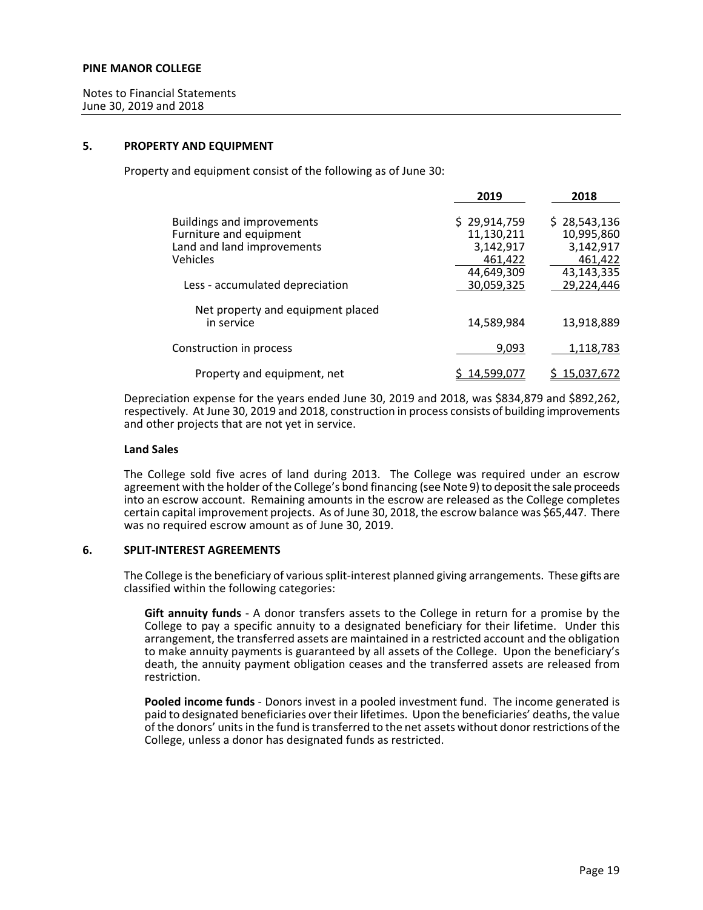## **5. PROPERTY AND EQUIPMENT**

Property and equipment consist of the following as of June 30:

|                                                 | 2019         | 2018         |
|-------------------------------------------------|--------------|--------------|
| <b>Buildings and improvements</b>               | \$29,914,759 | \$28,543,136 |
| Furniture and equipment                         | 11,130,211   | 10,995,860   |
| Land and land improvements                      | 3,142,917    | 3,142,917    |
| Vehicles                                        | 461.422      | 461,422      |
|                                                 | 44,649,309   | 43,143,335   |
| Less - accumulated depreciation                 | 30.059.325   | 29,224,446   |
| Net property and equipment placed<br>in service | 14.589.984   | 13.918.889   |
|                                                 |              |              |
| Construction in process                         | 9,093        | 1,118,783    |
| Property and equipment, net                     | 14.599.077   | 15.037.672   |

Depreciation expense for the years ended June 30, 2019 and 2018, was \$834,879 and \$892,262, respectively. At June 30, 2019 and 2018, construction in process consists of building improvements and other projects that are not yet in service.

#### **Land Sales**

The College sold five acres of land during 2013. The College was required under an escrow agreement with the holder of the College's bond financing (see Note 9) to deposit the sale proceeds into an escrow account. Remaining amounts in the escrow are released as the College completes certain capital improvement projects. As of June 30, 2018, the escrow balance was \$65,447. There was no required escrow amount as of June 30, 2019.

## **6. SPLIT-INTEREST AGREEMENTS**

The College is the beneficiary of various split-interest planned giving arrangements. These gifts are classified within the following categories:

**Gift annuity funds** - A donor transfers assets to the College in return for a promise by the College to pay a specific annuity to a designated beneficiary for their lifetime. Under this arrangement, the transferred assets are maintained in a restricted account and the obligation to make annuity payments is guaranteed by all assets of the College. Upon the beneficiary's death, the annuity payment obligation ceases and the transferred assets are released from restriction.

**Pooled income funds** - Donors invest in a pooled investment fund. The income generated is paid to designated beneficiaries over their lifetimes. Upon the beneficiaries' deaths, the value of the donors' units in the fund is transferred to the net assets without donor restrictions of the College, unless a donor has designated funds as restricted.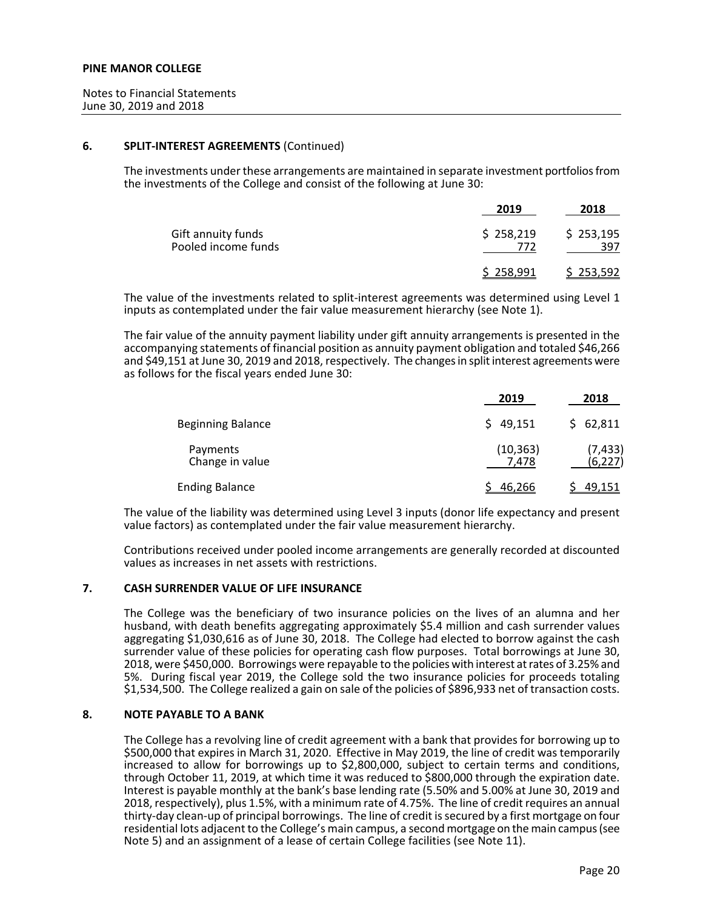## **6. SPLIT-INTEREST AGREEMENTS** (Continued)

The investments under these arrangements are maintained in separate investment portfolios from the investments of the College and consist of the following at June 30:

|                                           | 2019             | 2018             |
|-------------------------------------------|------------------|------------------|
| Gift annuity funds<br>Pooled income funds | \$258,219<br>772 | \$253,195<br>397 |
|                                           | \$258,991        | \$253,592        |

The value of the investments related to split-interest agreements was determined using Level 1 inputs as contemplated under the fair value measurement hierarchy (see Note 1).

The fair value of the annuity payment liability under gift annuity arrangements is presented in the accompanying statements of financial position as annuity payment obligation and totaled \$46,266 and \$49,151 at June 30, 2019 and 2018, respectively. The changes in split interest agreements were as follows for the fiscal years ended June 30:

|                             | 2019               | 2018                 |
|-----------------------------|--------------------|----------------------|
| <b>Beginning Balance</b>    | \$49,151           | \$62,811             |
| Payments<br>Change in value | (10, 363)<br>7.478 | (7, 433)<br>(6, 227) |
| <b>Ending Balance</b>       | 46,266             | 49,151               |

The value of the liability was determined using Level 3 inputs (donor life expectancy and present value factors) as contemplated under the fair value measurement hierarchy.

Contributions received under pooled income arrangements are generally recorded at discounted values as increases in net assets with restrictions.

# **7. CASH SURRENDER VALUE OF LIFE INSURANCE**

The College was the beneficiary of two insurance policies on the lives of an alumna and her husband, with death benefits aggregating approximately \$5.4 million and cash surrender values aggregating \$1,030,616 as of June 30, 2018. The College had elected to borrow against the cash surrender value of these policies for operating cash flow purposes. Total borrowings at June 30, 2018, were \$450,000. Borrowings were repayable to the policies with interest at rates of 3.25% and 5%. During fiscal year 2019, the College sold the two insurance policies for proceeds totaling \$1,534,500. The College realized a gain on sale of the policies of \$896,933 net of transaction costs.

#### **8. NOTE PAYABLE TO A BANK**

The College has a revolving line of credit agreement with a bank that provides for borrowing up to \$500,000 that expires in March 31, 2020. Effective in May 2019, the line of credit was temporarily increased to allow for borrowings up to \$2,800,000, subject to certain terms and conditions, through October 11, 2019, at which time it was reduced to \$800,000 through the expiration date. Interest is payable monthly at the bank's base lending rate (5.50% and 5.00% at June 30, 2019 and 2018, respectively), plus 1.5%, with a minimum rate of 4.75%. The line of credit requires an annual thirty-day clean-up of principal borrowings. The line of credit is secured by a first mortgage on four residential lots adjacent to the College's main campus, a second mortgage on the main campus (see Note 5) and an assignment of a lease of certain College facilities (see Note 11).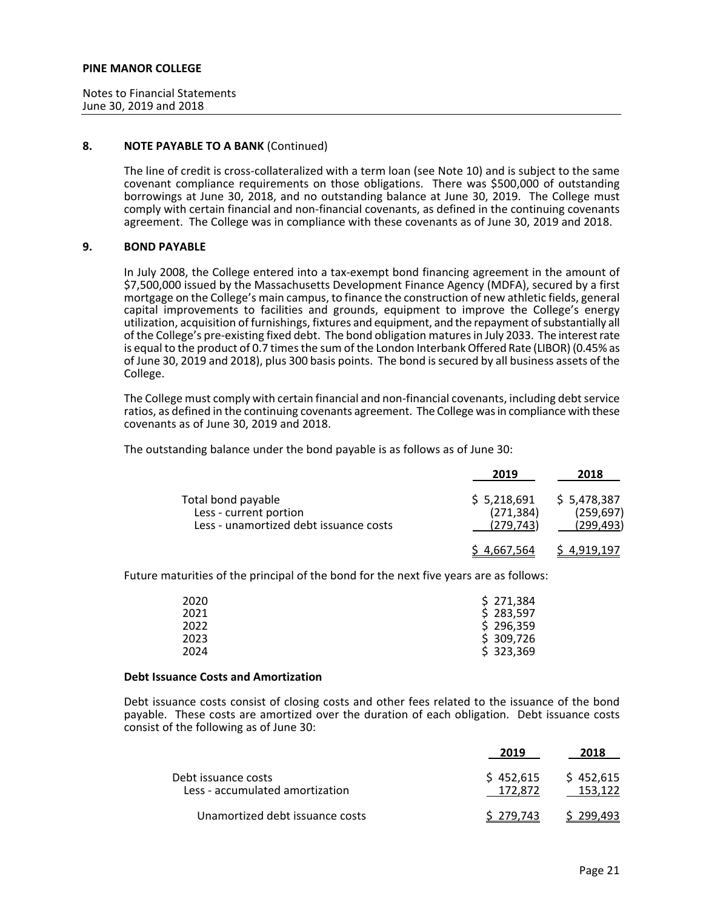Notes to Financial Statements June 30, 2019 and 2018

## **8. NOTE PAYABLE TO A BANK** (Continued)

The line of credit is cross-collateralized with a term loan (see Note 10) and is subject to the same covenant compliance requirements on those obligations. There was \$500,000 of outstanding borrowings at June 30, 2018, and no outstanding balance at June 30, 2019. The College must comply with certain financial and non-financial covenants, as defined in the continuing covenants agreement. The College was in compliance with these covenants as of June 30, 2019 and 2018.

## **9. BOND PAYABLE**

In July 2008, the College entered into a tax-exempt bond financing agreement in the amount of \$7,500,000 issued by the Massachusetts Development Finance Agency (MDFA), secured by a first mortgage on the College's main campus, to finance the construction of new athletic fields, general capital improvements to facilities and grounds, equipment to improve the College's energy utilization, acquisition of furnishings, fixtures and equipment, and the repayment of substantially all of the College's pre-existing fixed debt. The bond obligation matures in July 2033. The interest rate is equal to the product of 0.7 times the sum of the London Interbank Offered Rate (LIBOR) (0.45% as of June 30, 2019 and 2018), plus 300 basis points. The bond is secured by all business assets of the College.

The College must comply with certain financial and non-financial covenants, including debt service ratios, as defined in the continuing covenants agreement. The College was in compliance with these covenants as of June 30, 2019 and 2018.

The outstanding balance under the bond payable is as follows as of June 30:

|                                                                                        | 2019                                   | 2018                                    |
|----------------------------------------------------------------------------------------|----------------------------------------|-----------------------------------------|
| Total bond payable<br>Less - current portion<br>Less - unamortized debt issuance costs | \$5,218,691<br>(271, 384)<br>(279.743) | \$5,478,387<br>(259, 697)<br>(299, 493) |
|                                                                                        | <u>4,667,</u> 564                      | 4.919.197                               |

Future maturities of the principal of the bond for the next five years are as follows:

| 2020 | \$271,384 |
|------|-----------|
| 2021 | \$283,597 |
| 2022 | \$296,359 |
| 2023 | \$309,726 |
| 2024 | \$323,369 |

#### **Debt Issuance Costs and Amortization**

Debt issuance costs consist of closing costs and other fees related to the issuance of the bond payable. These costs are amortized over the duration of each obligation. Debt issuance costs consist of the following as of June 30:

|                                                        | 2019                 | 2018                 |
|--------------------------------------------------------|----------------------|----------------------|
| Debt issuance costs<br>Less - accumulated amortization | \$452,615<br>172.872 | \$452,615<br>153.122 |
| Unamortized debt issuance costs                        | S 279.743            | S 299.493            |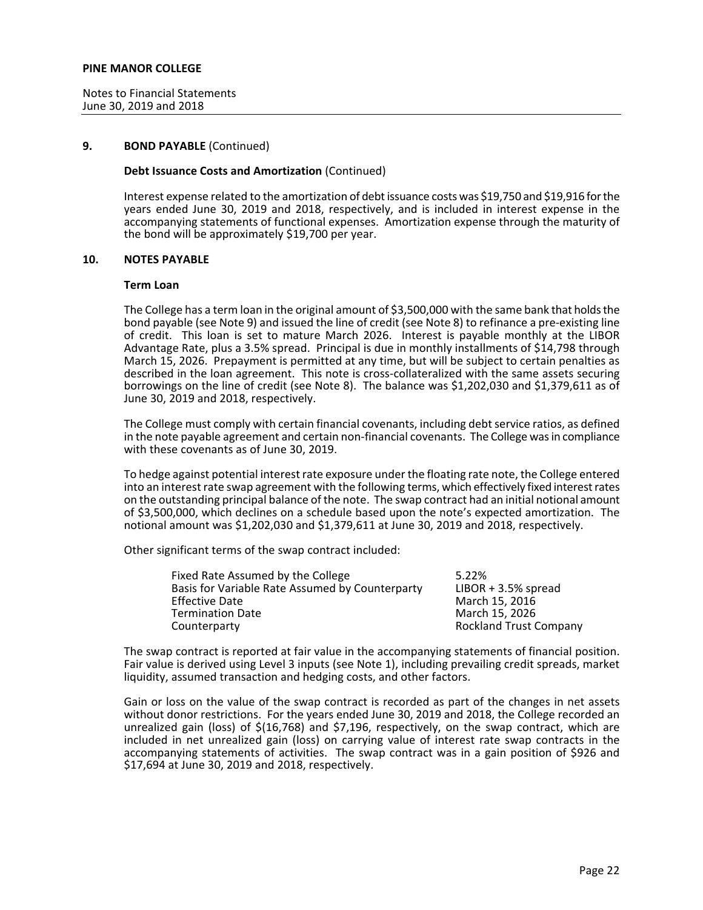Notes to Financial Statements June 30, 2019 and 2018

#### **9. BOND PAYABLE** (Continued)

## **Debt Issuance Costs and Amortization** (Continued)

Interest expense related to the amortization of debt issuance costs was \$19,750 and \$19,916 for the years ended June 30, 2019 and 2018, respectively, and is included in interest expense in the accompanying statements of functional expenses. Amortization expense through the maturity of the bond will be approximately \$19,700 per year.

## **10. NOTES PAYABLE**

#### **Term Loan**

The College has a term loan in the original amount of \$3,500,000 with the same bank that holds the bond payable (see Note 9) and issued the line of credit (see Note 8) to refinance a pre-existing line of credit. This loan is set to mature March 2026. Interest is payable monthly at the LIBOR Advantage Rate, plus a 3.5% spread. Principal is due in monthly installments of \$14,798 through March 15, 2026. Prepayment is permitted at any time, but will be subject to certain penalties as described in the loan agreement. This note is cross-collateralized with the same assets securing borrowings on the line of credit (see Note 8). The balance was \$1,202,030 and \$1,379,611 as of June 30, 2019 and 2018, respectively.

The College must comply with certain financial covenants, including debt service ratios, as defined in the note payable agreement and certain non-financial covenants. The College was in compliance with these covenants as of June 30, 2019.

To hedge against potential interest rate exposure under the floating rate note, the College entered into an interest rate swap agreement with the following terms, which effectively fixed interest rates on the outstanding principal balance of the note. The swap contract had an initial notional amount of \$3,500,000, which declines on a schedule based upon the note's expected amortization. The notional amount was \$1,202,030 and \$1,379,611 at June 30, 2019 and 2018, respectively.

Other significant terms of the swap contract included:

| Fixed Rate Assumed by the College               | 5.22%                         |
|-------------------------------------------------|-------------------------------|
| Basis for Variable Rate Assumed by Counterparty | $LIBOR + 3.5\%$ spread        |
| <b>Effective Date</b>                           | March 15, 2016                |
| <b>Termination Date</b>                         | March 15, 2026                |
| Counterparty                                    | <b>Rockland Trust Company</b> |

The swap contract is reported at fair value in the accompanying statements of financial position. Fair value is derived using Level 3 inputs (see Note 1), including prevailing credit spreads, market liquidity, assumed transaction and hedging costs, and other factors.

Gain or loss on the value of the swap contract is recorded as part of the changes in net assets without donor restrictions. For the years ended June 30, 2019 and 2018, the College recorded an unrealized gain (loss) of \$(16,768) and \$7,196, respectively, on the swap contract, which are included in net unrealized gain (loss) on carrying value of interest rate swap contracts in the accompanying statements of activities. The swap contract was in a gain position of \$926 and \$17,694 at June 30, 2019 and 2018, respectively.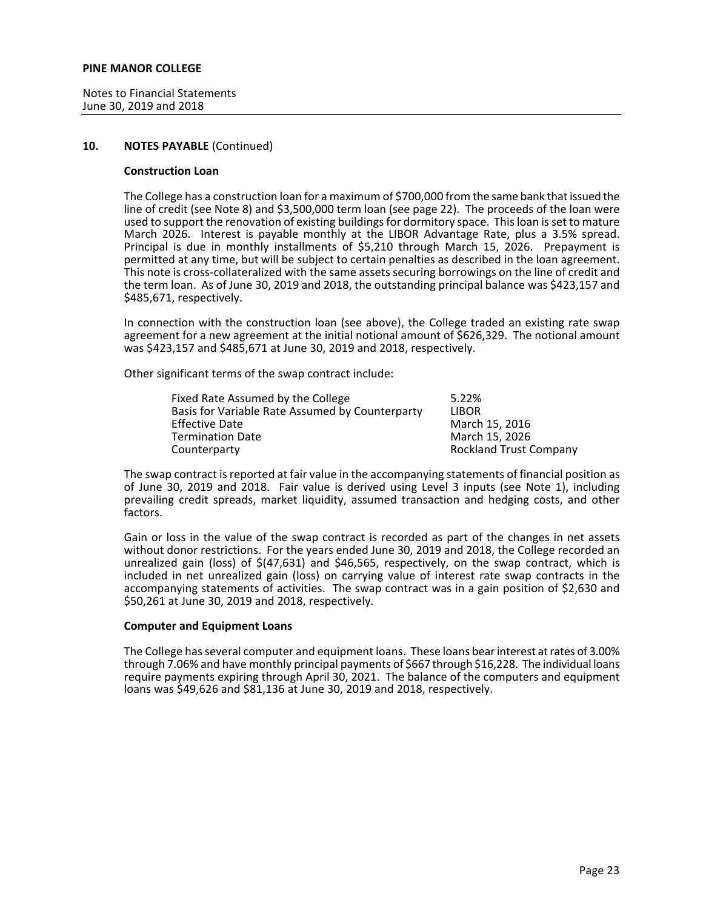Notes to Financial Statements June 30, 2019 and 2018

## **10. NOTES PAYABLE** (Continued)

#### **Construction Loan**

The College has a construction loan for a maximum of \$700,000 from the same bank that issued the line of credit (see Note 8) and \$3,500,000 term loan (see page 22). The proceeds of the loan were used to support the renovation of existing buildings for dormitory space. This loan is set to mature March 2026. Interest is payable monthly at the LIBOR Advantage Rate, plus a 3.5% spread. Principal is due in monthly installments of \$5,210 through March 15, 2026. Prepayment is permitted at any time, but will be subject to certain penalties as described in the loan agreement. This note is cross-collateralized with the same assets securing borrowings on the line of credit and the term loan. As of June 30, 2019 and 2018, the outstanding principal balance was \$423,157 and \$485,671, respectively.

In connection with the construction loan (see above), the College traded an existing rate swap agreement for a new agreement at the initial notional amount of \$626,329. The notional amount was \$423,157 and \$485,671 at June 30, 2019 and 2018, respectively.

Other significant terms of the swap contract include:

| Fixed Rate Assumed by the College               | 5.22%                         |
|-------------------------------------------------|-------------------------------|
| Basis for Variable Rate Assumed by Counterparty | <b>LIBOR</b>                  |
| <b>Effective Date</b>                           | March 15, 2016                |
| <b>Termination Date</b>                         | March 15, 2026                |
| Counterparty                                    | <b>Rockland Trust Company</b> |

The swap contract is reported at fair value in the accompanying statements of financial position as of June 30, 2019 and 2018. Fair value is derived using Level 3 inputs (see Note 1), including prevailing credit spreads, market liquidity, assumed transaction and hedging costs, and other factors.

Gain or loss in the value of the swap contract is recorded as part of the changes in net assets without donor restrictions. For the years ended June 30, 2019 and 2018, the College recorded an unrealized gain (loss) of  $\frac{2}{47,631}$  and  $\frac{2}{46,565}$ , respectively, on the swap contract, which is included in net unrealized gain (loss) on carrying value of interest rate swap contracts in the accompanying statements of activities. The swap contract was in a gain position of \$2,630 and \$50,261 at June 30, 2019 and 2018, respectively.

## **Computer and Equipment Loans**

The College has several computer and equipment loans. These loans bear interest at rates of 3.00% through 7.06% and have monthly principal payments of \$667 through \$16,228. The individual loans require payments expiring through April 30, 2021. The balance of the computers and equipment loans was \$49,626 and \$81,136 at June 30, 2019 and 2018, respectively.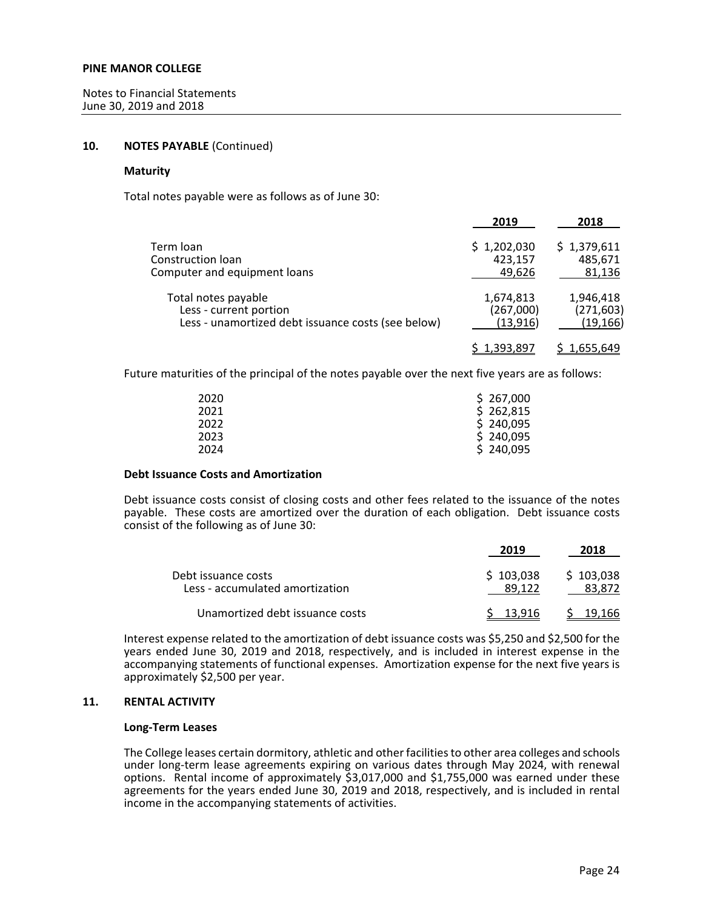## **10. NOTES PAYABLE** (Continued)

## **Maturity**

Total notes payable were as follows as of June 30:

|                                                    | 2019        | 2018        |
|----------------------------------------------------|-------------|-------------|
| Term loan                                          | \$1,202,030 | \$1,379,611 |
| Construction loan                                  | 423,157     | 485,671     |
| Computer and equipment loans                       | 49,626      | 81,136      |
| Total notes payable                                | 1,674,813   | 1,946,418   |
| Less - current portion                             | (267,000)   | (271, 603)  |
| Less - unamortized debt issuance costs (see below) | (13, 916)   | (19, 166)   |
|                                                    | \$1,393,897 | 1,655,649   |

Future maturities of the principal of the notes payable over the next five years are as follows:

| 2020 | \$267,000 |
|------|-----------|
| 2021 | \$262,815 |
| 2022 | \$240,095 |
| 2023 | \$240,095 |
| 2024 | \$240,095 |

# **Debt Issuance Costs and Amortization**

Debt issuance costs consist of closing costs and other fees related to the issuance of the notes payable. These costs are amortized over the duration of each obligation. Debt issuance costs consist of the following as of June 30:

|                                                        | 2019                | 2018                |
|--------------------------------------------------------|---------------------|---------------------|
| Debt issuance costs<br>Less - accumulated amortization | \$103,038<br>89.122 | \$103,038<br>83.872 |
| Unamortized debt issuance costs                        | S 13.916            | - 19.166            |

Interest expense related to the amortization of debt issuance costs was \$5,250 and \$2,500 for the years ended June 30, 2019 and 2018, respectively, and is included in interest expense in the accompanying statements of functional expenses. Amortization expense for the next five years is approximately \$2,500 per year.

# **11. RENTAL ACTIVITY**

#### **Long-Term Leases**

The College leases certain dormitory, athletic and other facilities to other area colleges and schools under long-term lease agreements expiring on various dates through May 2024, with renewal options. Rental income of approximately \$3,017,000 and \$1,755,000 was earned under these agreements for the years ended June 30, 2019 and 2018, respectively, and is included in rental income in the accompanying statements of activities.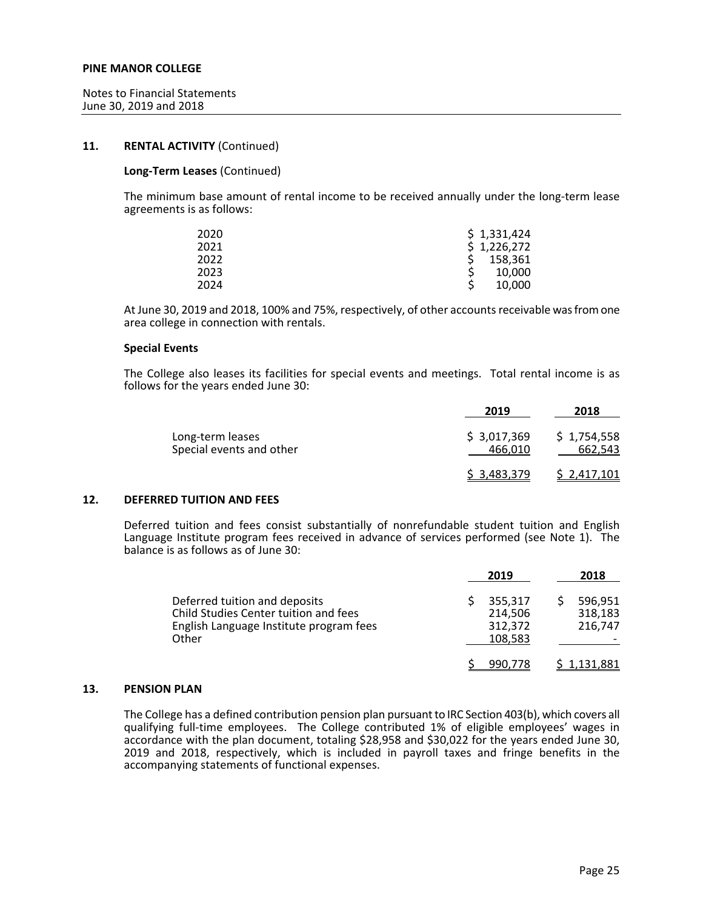## **11. RENTAL ACTIVITY** (Continued)

## **Long-Term Leases** (Continued)

The minimum base amount of rental income to be received annually under the long-term lease agreements is as follows:

| 2020 | \$1,331,424 |
|------|-------------|
| 2021 | \$1,226,272 |
| 2022 | 158,361     |
| 2023 | 10,000      |
| 2024 | 10,000      |

At June 30, 2019 and 2018, 100% and 75%, respectively, of other accounts receivable was from one area college in connection with rentals.

#### **Special Events**

The College also leases its facilities for special events and meetings. Total rental income is as follows for the years ended June 30:

|                                              | 2019                   | 2018                   |
|----------------------------------------------|------------------------|------------------------|
| Long-term leases<br>Special events and other | \$3,017,369<br>466.010 | \$1,754,558<br>662,543 |
|                                              | \$ 3.483,379           | <u>\$2,417,101</u>     |

#### **12. DEFERRED TUITION AND FEES**

Deferred tuition and fees consist substantially of nonrefundable student tuition and English Language Institute program fees received in advance of services performed (see Note 1). The balance is as follows as of June 30:

|                                                                                                                            | 2019 |                                          | 2018                          |
|----------------------------------------------------------------------------------------------------------------------------|------|------------------------------------------|-------------------------------|
| Deferred tuition and deposits<br>Child Studies Center tuition and fees<br>English Language Institute program fees<br>Other |      | 355,317<br>214,506<br>312,372<br>108,583 | 596,951<br>318,183<br>216.747 |
|                                                                                                                            |      | 990.778                                  | 1.131.881                     |

## **13. PENSION PLAN**

The College has a defined contribution pension plan pursuant to IRC Section 403(b), which covers all qualifying full-time employees. The College contributed 1% of eligible employees' wages in accordance with the plan document, totaling \$28,958 and \$30,022 for the years ended June 30, 2019 and 2018, respectively, which is included in payroll taxes and fringe benefits in the accompanying statements of functional expenses.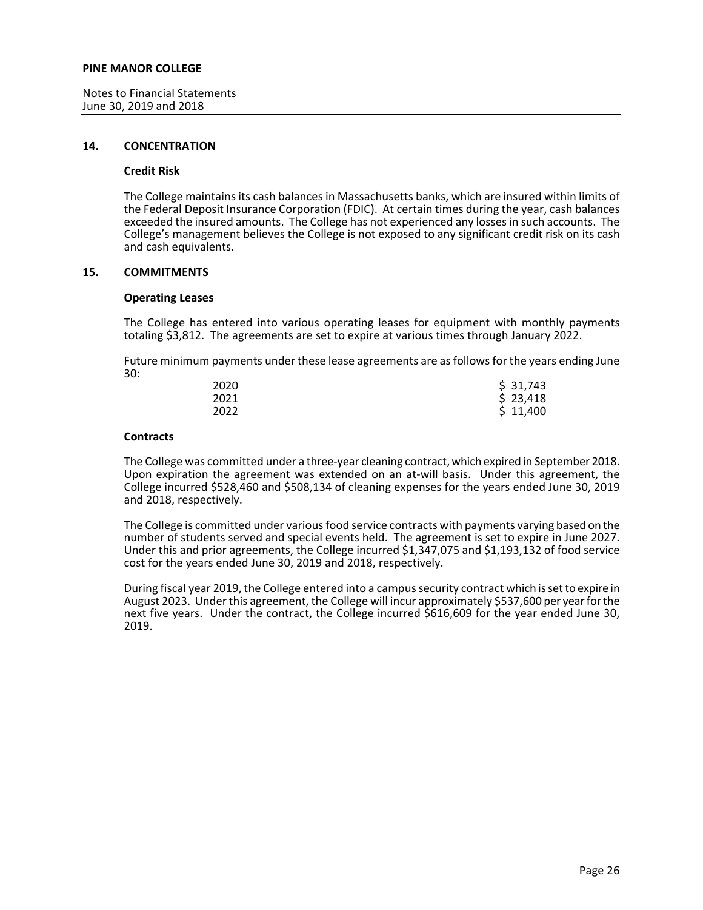Notes to Financial Statements June 30, 2019 and 2018

#### **14. CONCENTRATION**

#### **Credit Risk**

The College maintains its cash balances in Massachusetts banks, which are insured within limits of the Federal Deposit Insurance Corporation (FDIC). At certain times during the year, cash balances exceeded the insured amounts. The College has not experienced any losses in such accounts. The College's management believes the College is not exposed to any significant credit risk on its cash and cash equivalents.

#### **15. COMMITMENTS**

## **Operating Leases**

The College has entered into various operating leases for equipment with monthly payments totaling \$3,812. The agreements are set to expire at various times through January 2022.

Future minimum payments under these lease agreements are as follows for the years ending June 30:

| 2020 | \$31,743 |
|------|----------|
| 2021 | \$23,418 |
| 2022 | \$11,400 |

## **Contracts**

The College was committed under a three-year cleaning contract, which expired in September 2018. Upon expiration the agreement was extended on an at-will basis. Under this agreement, the College incurred \$528,460 and \$508,134 of cleaning expenses for the years ended June 30, 2019 and 2018, respectively.

The College is committed under various food service contracts with payments varying based on the number of students served and special events held. The agreement is set to expire in June 2027. Under this and prior agreements, the College incurred \$1,347,075 and \$1,193,132 of food service cost for the years ended June 30, 2019 and 2018, respectively.

During fiscal year 2019, the College entered into a campus security contract which is set to expire in August 2023. Under this agreement, the College will incur approximately \$537,600 per year for the next five years. Under the contract, the College incurred \$616,609 for the year ended June 30, 2019.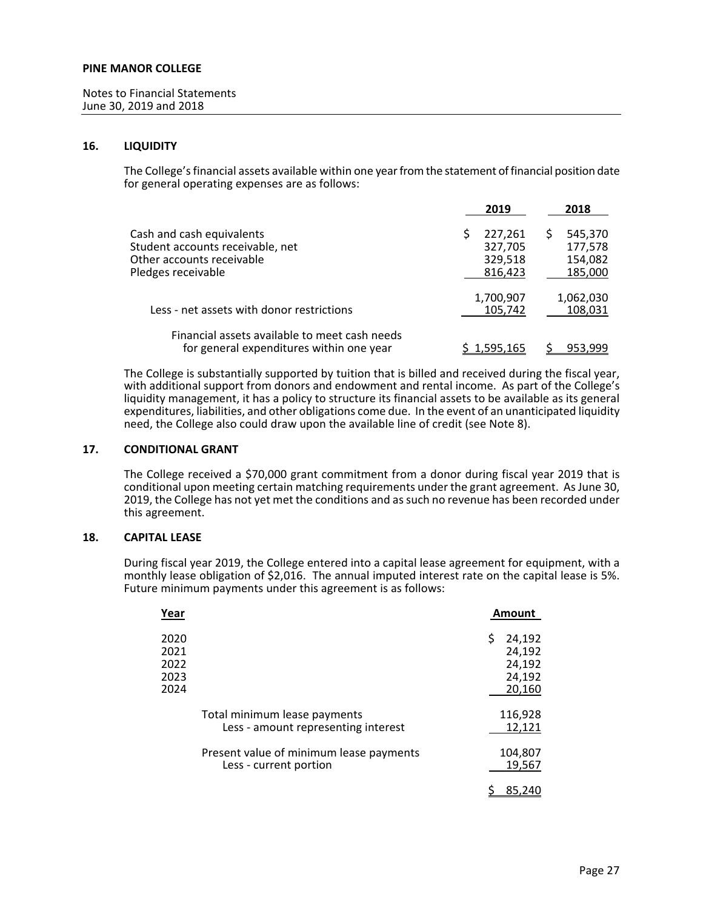## **16. LIQUIDITY**

The College's financial assets available within one year from the statement of financial position date for general operating expenses are as follows:

|                                               | 2019      |   | 2018      |
|-----------------------------------------------|-----------|---|-----------|
| Cash and cash equivalents                     | 227,261   | S | 545,370   |
| Student accounts receivable, net              | 327,705   |   | 177,578   |
| Other accounts receivable                     | 329,518   |   | 154,082   |
| Pledges receivable                            | 816,423   |   | 185,000   |
|                                               | 1,700,907 |   | 1,062,030 |
| Less - net assets with donor restrictions     | 105,742   |   | 108,031   |
| Financial assets available to meet cash needs |           |   |           |
| for general expenditures within one year      | 1,595,165 |   | 953,999   |

The College is substantially supported by tuition that is billed and received during the fiscal year, with additional support from donors and endowment and rental income. As part of the College's liquidity management, it has a policy to structure its financial assets to be available as its general expenditures, liabilities, and other obligations come due. In the event of an unanticipated liquidity need, the College also could draw upon the available line of credit (see Note 8).

## **17. CONDITIONAL GRANT**

The College received a \$70,000 grant commitment from a donor during fiscal year 2019 that is conditional upon meeting certain matching requirements under the grant agreement. As June 30, 2019, the College has not yet met the conditions and as such no revenue has been recorded under this agreement.

## **18. CAPITAL LEASE**

During fiscal year 2019, the College entered into a capital lease agreement for equipment, with a monthly lease obligation of \$2,016. The annual imputed interest rate on the capital lease is 5%. Future minimum payments under this agreement is as follows:

| Year |                                         | Amount       |
|------|-----------------------------------------|--------------|
| 2020 |                                         | 24,192<br>\$ |
| 2021 |                                         | 24,192       |
| 2022 |                                         | 24,192       |
| 2023 |                                         | 24,192       |
| 2024 |                                         | 20,160       |
|      |                                         |              |
|      | Total minimum lease payments            | 116,928      |
|      | Less - amount representing interest     | 12,121       |
|      | Present value of minimum lease payments | 104,807      |
|      | Less - current portion                  | 19,567       |
|      |                                         |              |
|      |                                         | 85.240       |